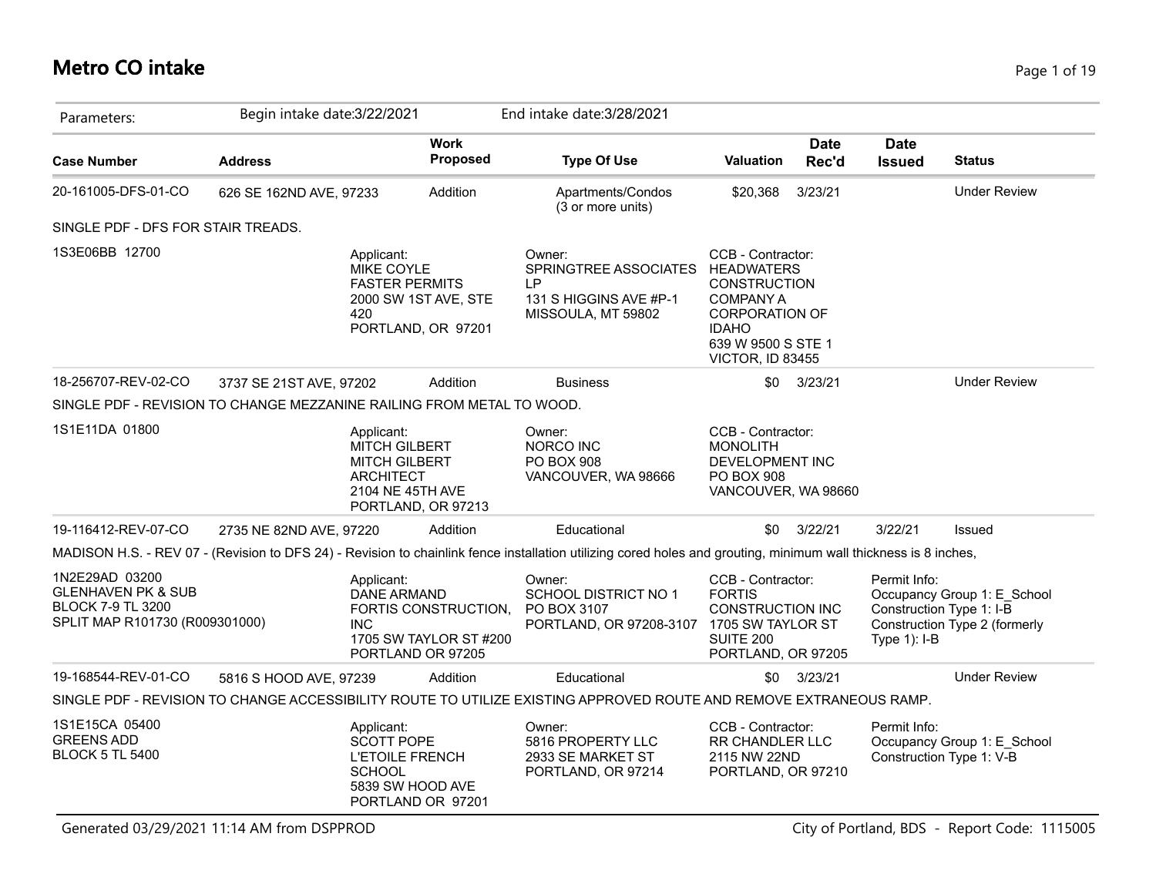# **Metro CO intake** Page 1 of 19

| Parameters:                                                                                                   | Begin intake date: 3/22/2021 |                                                                                                                          |                                                | End intake date: 3/28/2021                                                                                                                                      |                                                                                                                                                                      |                      |                              |                                                                                          |
|---------------------------------------------------------------------------------------------------------------|------------------------------|--------------------------------------------------------------------------------------------------------------------------|------------------------------------------------|-----------------------------------------------------------------------------------------------------------------------------------------------------------------|----------------------------------------------------------------------------------------------------------------------------------------------------------------------|----------------------|------------------------------|------------------------------------------------------------------------------------------|
| <b>Case Number</b>                                                                                            | <b>Address</b>               |                                                                                                                          | <b>Work</b><br>Proposed                        | <b>Type Of Use</b>                                                                                                                                              | <b>Valuation</b>                                                                                                                                                     | <b>Date</b><br>Rec'd | <b>Date</b><br><b>Issued</b> | <b>Status</b>                                                                            |
| 20-161005-DFS-01-CO                                                                                           | 626 SE 162ND AVE, 97233      |                                                                                                                          | Addition                                       | Apartments/Condos<br>(3 or more units)                                                                                                                          | \$20,368                                                                                                                                                             | 3/23/21              |                              | <b>Under Review</b>                                                                      |
| SINGLE PDF - DFS FOR STAIR TREADS.                                                                            |                              |                                                                                                                          |                                                |                                                                                                                                                                 |                                                                                                                                                                      |                      |                              |                                                                                          |
| 1S3E06BB 12700                                                                                                |                              | Applicant:<br>MIKE COYLE<br><b>FASTER PERMITS</b><br>2000 SW 1ST AVE, STE<br>420<br>PORTLAND, OR 97201                   |                                                | Owner:<br>SPRINGTREE ASSOCIATES<br>I P<br>131 S HIGGINS AVE #P-1<br>MISSOULA, MT 59802                                                                          | CCB - Contractor:<br><b>HEADWATERS</b><br><b>CONSTRUCTION</b><br><b>COMPANY A</b><br><b>CORPORATION OF</b><br><b>IDAHO</b><br>639 W 9500 S STE 1<br>VICTOR, ID 83455 |                      |                              |                                                                                          |
| 18-256707-REV-02-CO<br>SINGLE PDF - REVISION TO CHANGE MEZZANINE RAILING FROM METAL TO WOOD.                  | 3737 SE 21ST AVE, 97202      |                                                                                                                          | Addition                                       | <b>Business</b>                                                                                                                                                 | \$0                                                                                                                                                                  | 3/23/21              |                              | <b>Under Review</b>                                                                      |
| 1S1E11DA 01800                                                                                                |                              | Applicant:<br><b>MITCH GILBERT</b><br><b>MITCH GILBERT</b><br><b>ARCHITECT</b><br>2104 NE 45TH AVE<br>PORTLAND, OR 97213 |                                                | Owner:<br><b>NORCO INC</b><br><b>PO BOX 908</b><br>VANCOUVER, WA 98666                                                                                          | CCB - Contractor:<br><b>MONOLITH</b><br>DEVELOPMENT INC<br><b>PO BOX 908</b><br>VANCOUVER, WA 98660                                                                  |                      |                              |                                                                                          |
| 19-116412-REV-07-CO                                                                                           | 2735 NE 82ND AVE, 97220      |                                                                                                                          | Addition                                       | Educational                                                                                                                                                     | \$0                                                                                                                                                                  | 3/22/21              | 3/22/21                      | <b>Issued</b>                                                                            |
|                                                                                                               |                              |                                                                                                                          |                                                | MADISON H.S. - REV 07 - (Revision to DFS 24) - Revision to chainlink fence installation utilizing cored holes and grouting, minimum wall thickness is 8 inches, |                                                                                                                                                                      |                      |                              |                                                                                          |
| 1N2E29AD 03200<br><b>GLENHAVEN PK &amp; SUB</b><br><b>BLOCK 7-9 TL 3200</b><br>SPLIT MAP R101730 (R009301000) |                              | Applicant:<br><b>DANE ARMAND</b><br><b>INC</b><br>PORTLAND OR 97205                                                      | FORTIS CONSTRUCTION.<br>1705 SW TAYLOR ST #200 | Owner:<br>SCHOOL DISTRICT NO 1<br>PO BOX 3107<br>PORTLAND, OR 97208-3107                                                                                        | CCB - Contractor:<br><b>FORTIS</b><br><b>CONSTRUCTION INC</b><br>1705 SW TAYLOR ST<br>SUITE 200<br>PORTLAND, OR 97205                                                |                      | Permit Info:<br>Type 1): I-B | Occupancy Group 1: E_School<br>Construction Type 1: I-B<br>Construction Type 2 (formerly |
| 19-168544-REV-01-CO                                                                                           | 5816 S HOOD AVE, 97239       |                                                                                                                          | Addition                                       | Educational                                                                                                                                                     | \$0                                                                                                                                                                  | 3/23/21              |                              | <b>Under Review</b>                                                                      |
|                                                                                                               |                              |                                                                                                                          |                                                | SINGLE PDF - REVISION TO CHANGE ACCESSIBILITY ROUTE TO UTILIZE EXISTING APPROVED ROUTE AND REMOVE EXTRANEOUS RAMP.                                              |                                                                                                                                                                      |                      |                              |                                                                                          |
| 1S1E15CA 05400<br><b>GREENS ADD</b><br><b>BLOCK 5 TL 5400</b>                                                 |                              | Applicant:<br><b>SCOTT POPE</b><br><b>L'ETOILE FRENCH</b><br><b>SCHOOL</b><br>5839 SW HOOD AVE<br>PORTLAND OR 97201      |                                                | Owner:<br>5816 PROPERTY LLC<br>2933 SE MARKET ST<br>PORTLAND, OR 97214                                                                                          | CCB - Contractor:<br>RR CHANDLER LLC<br>2115 NW 22ND<br>PORTLAND, OR 97210                                                                                           |                      | Permit Info:                 | Occupancy Group 1: E_School<br>Construction Type 1: V-B                                  |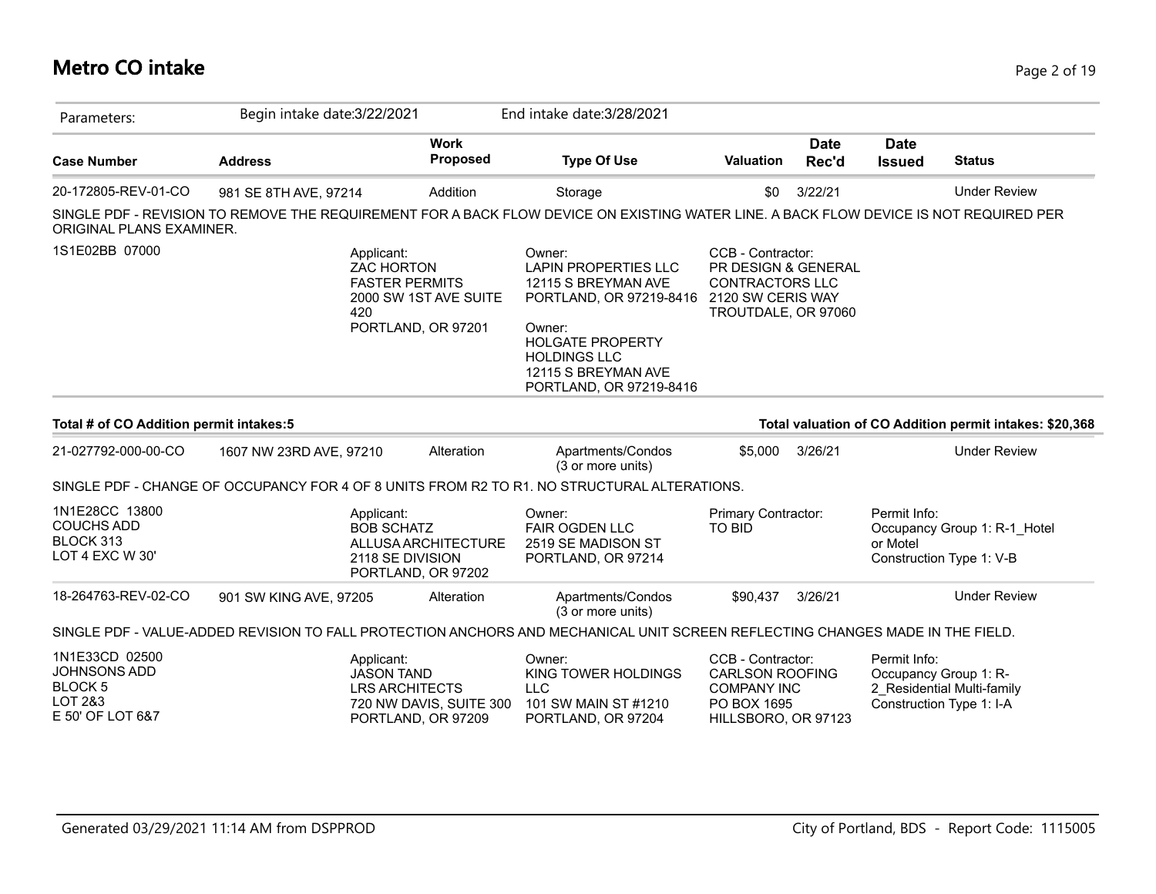# **Metro CO intake** Page 2 of 19

| Parameters:                                                                            | Begin intake date: 3/22/2021 |                                                                                                                | End intake date: 3/28/2021                                                                                                                                                                            |                                                                                                                |                      |                                                                   |                                                         |
|----------------------------------------------------------------------------------------|------------------------------|----------------------------------------------------------------------------------------------------------------|-------------------------------------------------------------------------------------------------------------------------------------------------------------------------------------------------------|----------------------------------------------------------------------------------------------------------------|----------------------|-------------------------------------------------------------------|---------------------------------------------------------|
| <b>Case Number</b>                                                                     | <b>Address</b>               | <b>Work</b><br>Proposed                                                                                        | <b>Type Of Use</b>                                                                                                                                                                                    | <b>Valuation</b>                                                                                               | <b>Date</b><br>Rec'd | <b>Date</b><br><b>Issued</b>                                      | <b>Status</b>                                           |
| 20-172805-REV-01-CO                                                                    | 981 SE 8TH AVE, 97214        | Addition                                                                                                       | Storage                                                                                                                                                                                               | \$0                                                                                                            | 3/22/21              |                                                                   | <b>Under Review</b>                                     |
| ORIGINAL PLANS EXAMINER.                                                               |                              |                                                                                                                | SINGLE PDF - REVISION TO REMOVE THE REQUIREMENT FOR A BACK FLOW DEVICE ON EXISTING WATER LINE. A BACK FLOW DEVICE IS NOT REQUIRED PER                                                                 |                                                                                                                |                      |                                                                   |                                                         |
| 1S1E02BB 07000                                                                         |                              | Applicant:<br><b>ZAC HORTON</b><br><b>FASTER PERMITS</b><br>2000 SW 1ST AVE SUITE<br>420<br>PORTLAND, OR 97201 | Owner:<br><b>LAPIN PROPERTIES LLC</b><br>12115 S BREYMAN AVE<br>PORTLAND, OR 97219-8416<br>Owner:<br><b>HOLGATE PROPERTY</b><br><b>HOLDINGS LLC</b><br>12115 S BREYMAN AVE<br>PORTLAND, OR 97219-8416 | CCB - Contractor:<br>PR DESIGN & GENERAL<br><b>CONTRACTORS LLC</b><br>2120 SW CERIS WAY<br>TROUTDALE, OR 97060 |                      |                                                                   |                                                         |
| Total # of CO Addition permit intakes:5                                                |                              |                                                                                                                |                                                                                                                                                                                                       |                                                                                                                |                      |                                                                   | Total valuation of CO Addition permit intakes: \$20,368 |
| 21-027792-000-00-CO                                                                    | 1607 NW 23RD AVE, 97210      | Alteration                                                                                                     | Apartments/Condos<br>(3 or more units)                                                                                                                                                                | \$5,000                                                                                                        | 3/26/21              |                                                                   | <b>Under Review</b>                                     |
|                                                                                        |                              |                                                                                                                | SINGLE PDF - CHANGE OF OCCUPANCY FOR 4 OF 8 UNITS FROM R2 TO R1. NO STRUCTURAL ALTERATIONS.                                                                                                           |                                                                                                                |                      |                                                                   |                                                         |
| 1N1E28CC 13800<br><b>COUCHS ADD</b><br>BLOCK 313<br>LOT 4 EXC W 30'                    |                              | Applicant:<br><b>BOB SCHATZ</b><br>ALLUSA ARCHITECTURE<br>2118 SE DIVISION<br>PORTLAND, OR 97202               | Owner:<br><b>FAIR OGDEN LLC</b><br>2519 SE MADISON ST<br>PORTLAND, OR 97214                                                                                                                           | Primary Contractor:<br><b>TO BID</b>                                                                           |                      | Permit Info:<br>or Motel<br>Construction Type 1: V-B              | Occupancy Group 1: R-1 Hotel                            |
| 18-264763-REV-02-CO                                                                    | 901 SW KING AVE, 97205       | Alteration                                                                                                     | Apartments/Condos<br>(3 or more units)                                                                                                                                                                | \$90,437                                                                                                       | 3/26/21              |                                                                   | <b>Under Review</b>                                     |
|                                                                                        |                              |                                                                                                                | SINGLE PDF - VALUE-ADDED REVISION TO FALL PROTECTION ANCHORS AND MECHANICAL UNIT SCREEN REFLECTING CHANGES MADE IN THE FIELD.                                                                         |                                                                                                                |                      |                                                                   |                                                         |
| 1N1E33CD 02500<br><b>JOHNSONS ADD</b><br><b>BLOCK 5</b><br>LOT 2&3<br>E 50' OF LOT 6&7 |                              | Applicant:<br><b>JASON TAND</b><br><b>LRS ARCHITECTS</b><br>720 NW DAVIS, SUITE 300<br>PORTLAND, OR 97209      | Owner:<br>KING TOWER HOLDINGS<br><b>LLC</b><br>101 SW MAIN ST #1210<br>PORTLAND, OR 97204                                                                                                             | CCB - Contractor:<br><b>CARLSON ROOFING</b><br><b>COMPANY INC</b><br>PO BOX 1695<br>HILLSBORO, OR 97123        |                      | Permit Info:<br>Occupancy Group 1: R-<br>Construction Type 1: I-A | 2 Residential Multi-family                              |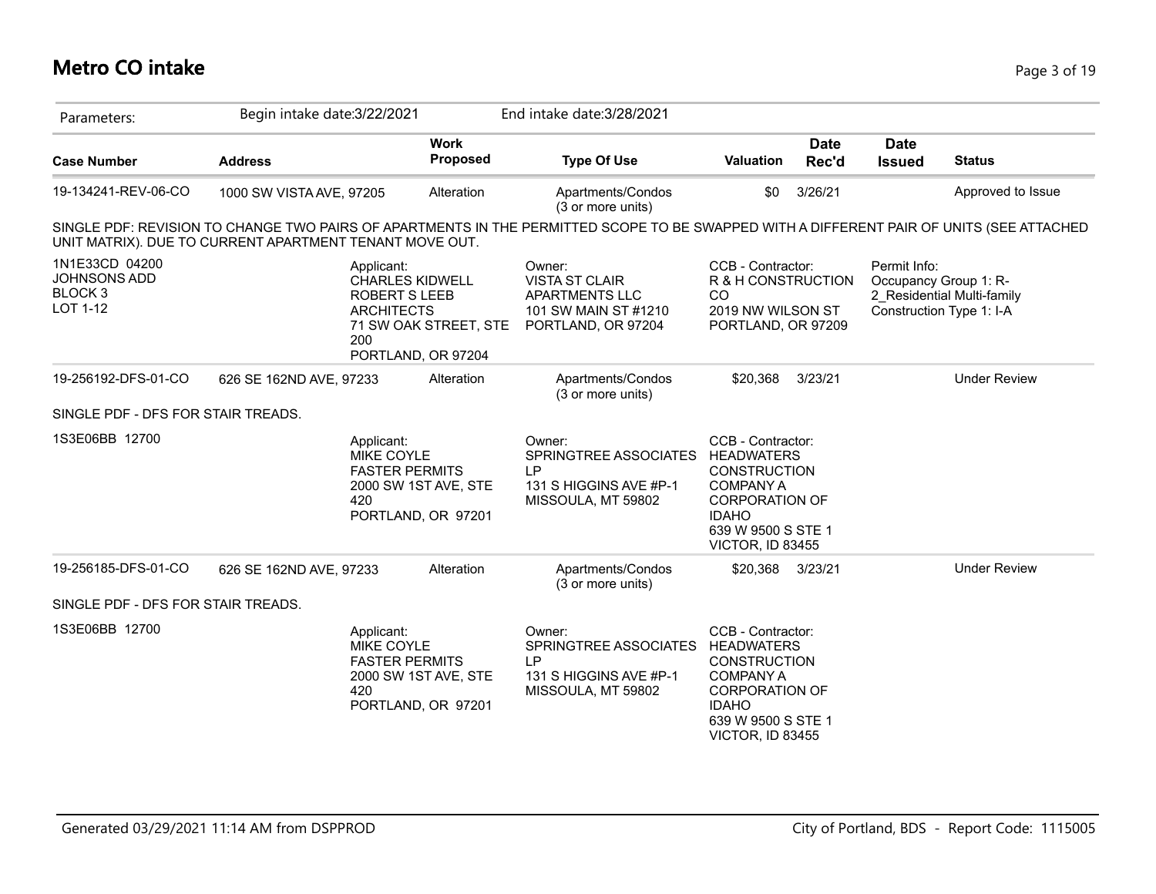# **Metro CO intake** Page 3 of 19

| Parameters:                                                             | Begin intake date: 3/22/2021                            |                                                                                                                                         | End intake date: 3/28/2021                                                                                                               |                                                                                                                                                                      |                      |                              |                                                                                 |
|-------------------------------------------------------------------------|---------------------------------------------------------|-----------------------------------------------------------------------------------------------------------------------------------------|------------------------------------------------------------------------------------------------------------------------------------------|----------------------------------------------------------------------------------------------------------------------------------------------------------------------|----------------------|------------------------------|---------------------------------------------------------------------------------|
| <b>Case Number</b>                                                      | <b>Address</b>                                          | <b>Work</b><br>Proposed                                                                                                                 | <b>Type Of Use</b>                                                                                                                       | Valuation                                                                                                                                                            | <b>Date</b><br>Rec'd | <b>Date</b><br><b>Issued</b> | <b>Status</b>                                                                   |
| 19-134241-REV-06-CO                                                     | 1000 SW VISTA AVE, 97205                                | Alteration                                                                                                                              | Apartments/Condos<br>(3 or more units)                                                                                                   | \$0                                                                                                                                                                  | 3/26/21              |                              | Approved to Issue                                                               |
|                                                                         | UNIT MATRIX). DUE TO CURRENT APARTMENT TENANT MOVE OUT. |                                                                                                                                         | SINGLE PDF: REVISION TO CHANGE TWO PAIRS OF APARTMENTS IN THE PERMITTED SCOPE TO BE SWAPPED WITH A DIFFERENT PAIR OF UNITS (SEE ATTACHED |                                                                                                                                                                      |                      |                              |                                                                                 |
| 1N1E33CD 04200<br><b>JOHNSONS ADD</b><br>BLOCK <sub>3</sub><br>LOT 1-12 |                                                         | Applicant:<br><b>CHARLES KIDWELL</b><br><b>ROBERT S LEEB</b><br><b>ARCHITECTS</b><br>71 SW OAK STREET, STE<br>200<br>PORTLAND, OR 97204 | Owner:<br><b>VISTA ST CLAIR</b><br>APARTMENTS LLC<br>101 SW MAIN ST #1210<br>PORTLAND, OR 97204                                          | CCB - Contractor:<br>R & H CONSTRUCTION<br>CO<br>2019 NW WILSON ST<br>PORTLAND, OR 97209                                                                             |                      | Permit Info:                 | Occupancy Group 1: R-<br>2 Residential Multi-family<br>Construction Type 1: I-A |
| 19-256192-DFS-01-CO                                                     | 626 SE 162ND AVE, 97233                                 | Alteration                                                                                                                              | Apartments/Condos<br>(3 or more units)                                                                                                   | \$20.368                                                                                                                                                             | 3/23/21              |                              | <b>Under Review</b>                                                             |
| SINGLE PDF - DFS FOR STAIR TREADS.                                      |                                                         |                                                                                                                                         |                                                                                                                                          |                                                                                                                                                                      |                      |                              |                                                                                 |
| 1S3E06BB 12700                                                          |                                                         | Applicant:<br><b>MIKE COYLE</b><br><b>FASTER PERMITS</b><br>2000 SW 1ST AVE, STE<br>420<br>PORTLAND, OR 97201                           | Owner:<br>SPRINGTREE ASSOCIATES<br>LP<br>131 S HIGGINS AVE #P-1<br>MISSOULA, MT 59802                                                    | CCB - Contractor:<br><b>HEADWATERS</b><br><b>CONSTRUCTION</b><br><b>COMPANY A</b><br><b>CORPORATION OF</b><br><b>IDAHO</b><br>639 W 9500 S STE 1<br>VICTOR, ID 83455 |                      |                              |                                                                                 |
| 19-256185-DFS-01-CO                                                     | 626 SE 162ND AVE, 97233                                 | Alteration                                                                                                                              | Apartments/Condos<br>(3 or more units)                                                                                                   | \$20,368                                                                                                                                                             | 3/23/21              |                              | <b>Under Review</b>                                                             |
| SINGLE PDF - DFS FOR STAIR TREADS.                                      |                                                         |                                                                                                                                         |                                                                                                                                          |                                                                                                                                                                      |                      |                              |                                                                                 |
| 1S3E06BB 12700                                                          |                                                         | Applicant:<br>MIKE COYLE<br><b>FASTER PERMITS</b><br>2000 SW 1ST AVE, STE<br>420<br>PORTLAND, OR 97201                                  | Owner:<br>SPRINGTREE ASSOCIATES<br><b>LP</b><br>131 S HIGGINS AVE #P-1<br>MISSOULA, MT 59802                                             | CCB - Contractor:<br><b>HEADWATERS</b><br><b>CONSTRUCTION</b><br><b>COMPANY A</b><br><b>CORPORATION OF</b><br><b>IDAHO</b><br>639 W 9500 S STE 1<br>VICTOR, ID 83455 |                      |                              |                                                                                 |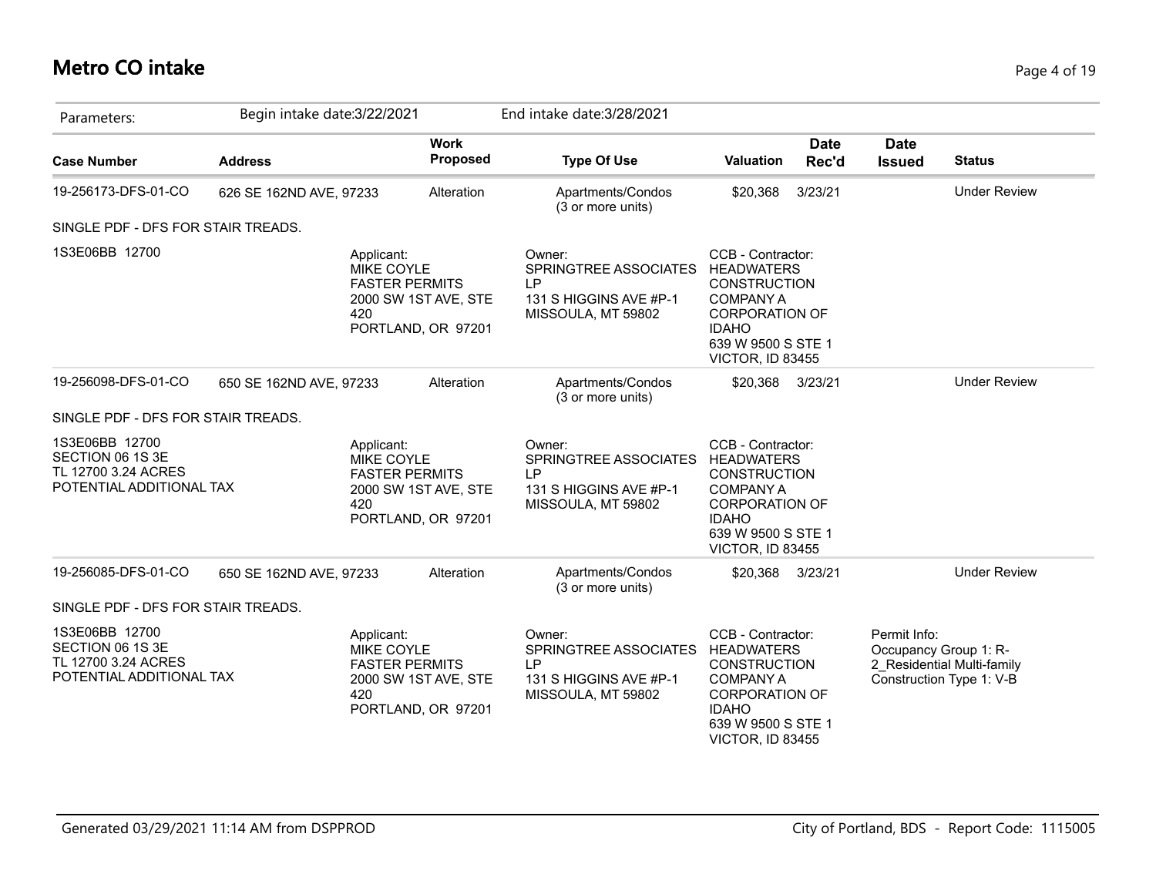### **Metro CO intake** Page 4 of 19

| Parameters:                                                                           | Begin intake date: 3/22/2021 |                                                                                                        |                                | End intake date: 3/28/2021                                                                   |                                                                                                                                                                      |                      |                              |                                                                                 |
|---------------------------------------------------------------------------------------|------------------------------|--------------------------------------------------------------------------------------------------------|--------------------------------|----------------------------------------------------------------------------------------------|----------------------------------------------------------------------------------------------------------------------------------------------------------------------|----------------------|------------------------------|---------------------------------------------------------------------------------|
| <b>Case Number</b>                                                                    | <b>Address</b>               |                                                                                                        | <b>Work</b><br><b>Proposed</b> | <b>Type Of Use</b>                                                                           | Valuation                                                                                                                                                            | <b>Date</b><br>Rec'd | <b>Date</b><br><b>Issued</b> | <b>Status</b>                                                                   |
| 19-256173-DFS-01-CO                                                                   | 626 SE 162ND AVE, 97233      |                                                                                                        | Alteration                     | Apartments/Condos<br>(3 or more units)                                                       | \$20,368                                                                                                                                                             | 3/23/21              |                              | <b>Under Review</b>                                                             |
| SINGLE PDF - DFS FOR STAIR TREADS.                                                    |                              |                                                                                                        |                                |                                                                                              |                                                                                                                                                                      |                      |                              |                                                                                 |
| 1S3E06BB 12700                                                                        |                              | Applicant:<br>MIKE COYLE<br><b>FASTER PERMITS</b><br>420<br>PORTLAND, OR 97201                         | 2000 SW 1ST AVE, STE           | Owner:<br>SPRINGTREE ASSOCIATES<br>LP<br>131 S HIGGINS AVE #P-1<br>MISSOULA, MT 59802        | CCB - Contractor:<br><b>HEADWATERS</b><br><b>CONSTRUCTION</b><br><b>COMPANY A</b><br><b>CORPORATION OF</b><br><b>IDAHO</b><br>639 W 9500 S STE 1<br>VICTOR, ID 83455 |                      |                              |                                                                                 |
| 19-256098-DFS-01-CO                                                                   | 650 SE 162ND AVE, 97233      |                                                                                                        | Alteration                     | Apartments/Condos<br>(3 or more units)                                                       | \$20,368                                                                                                                                                             | 3/23/21              |                              | <b>Under Review</b>                                                             |
| SINGLE PDF - DFS FOR STAIR TREADS.                                                    |                              |                                                                                                        |                                |                                                                                              |                                                                                                                                                                      |                      |                              |                                                                                 |
| 1S3E06BB 12700<br>SECTION 06 1S 3E<br>TL 12700 3.24 ACRES<br>POTENTIAL ADDITIONAL TAX |                              | Applicant:<br>MIKE COYLE<br><b>FASTER PERMITS</b><br>2000 SW 1ST AVE, STE<br>420<br>PORTLAND, OR 97201 |                                | Owner:<br>SPRINGTREE ASSOCIATES<br><b>LP</b><br>131 S HIGGINS AVE #P-1<br>MISSOULA, MT 59802 | CCB - Contractor:<br><b>HEADWATERS</b><br><b>CONSTRUCTION</b><br><b>COMPANY A</b><br><b>CORPORATION OF</b><br><b>IDAHO</b><br>639 W 9500 S STE 1<br>VICTOR, ID 83455 |                      |                              |                                                                                 |
| 19-256085-DFS-01-CO                                                                   | 650 SE 162ND AVE, 97233      |                                                                                                        | Alteration                     | Apartments/Condos<br>(3 or more units)                                                       | \$20,368                                                                                                                                                             | 3/23/21              |                              | <b>Under Review</b>                                                             |
| SINGLE PDF - DFS FOR STAIR TREADS.                                                    |                              |                                                                                                        |                                |                                                                                              |                                                                                                                                                                      |                      |                              |                                                                                 |
| 1S3E06BB 12700<br>SECTION 06 1S 3E<br>TL 12700 3.24 ACRES<br>POTENTIAL ADDITIONAL TAX |                              | Applicant:<br>MIKE COYLE<br><b>FASTER PERMITS</b><br>2000 SW 1ST AVE, STE<br>420<br>PORTLAND, OR 97201 |                                | Owner:<br>SPRINGTREE ASSOCIATES<br>LP<br>131 S HIGGINS AVE #P-1<br>MISSOULA, MT 59802        | CCB - Contractor:<br><b>HEADWATERS</b><br><b>CONSTRUCTION</b><br><b>COMPANY A</b><br><b>CORPORATION OF</b><br><b>IDAHO</b><br>639 W 9500 S STE 1<br>VICTOR, ID 83455 |                      | Permit Info:                 | Occupancy Group 1: R-<br>2_Residential Multi-family<br>Construction Type 1: V-B |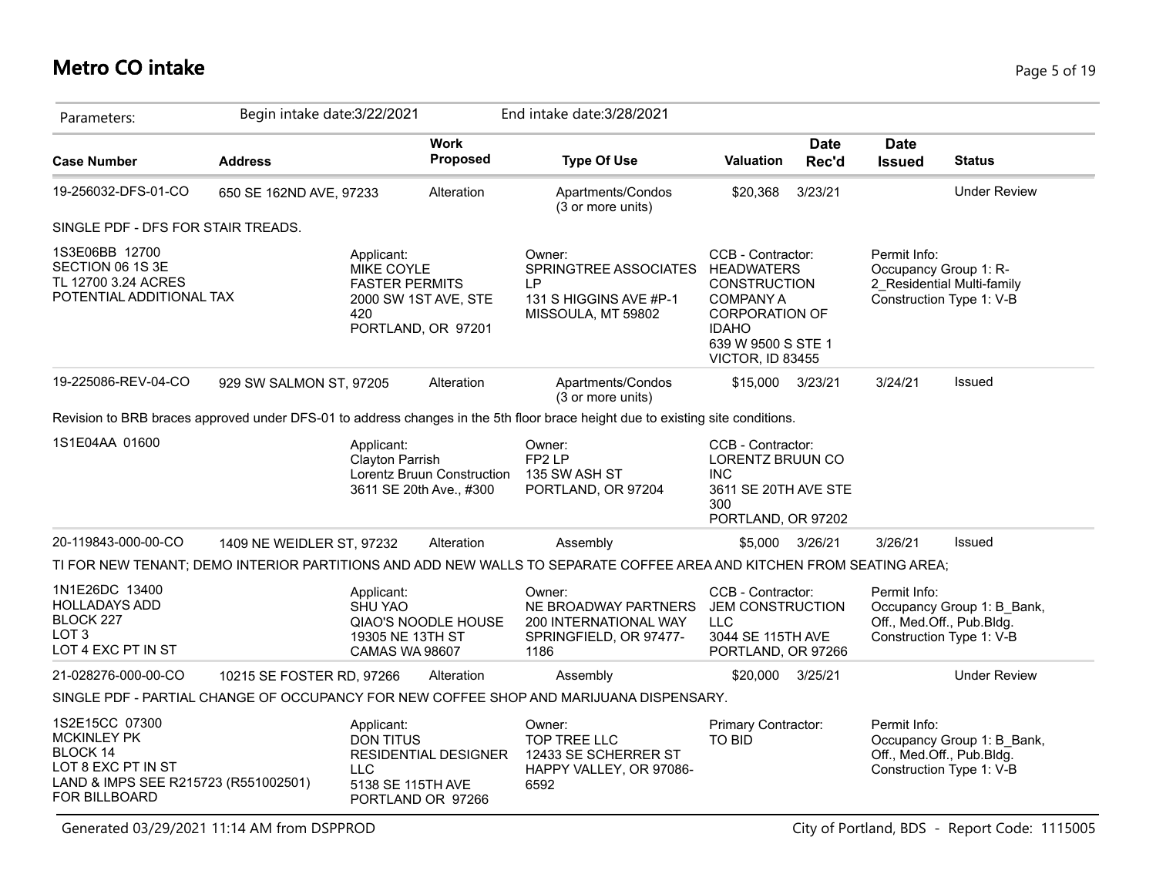# **Metro CO intake** Page 5 of 19

| Parameters:                                                                                                                                   | Begin intake date: 3/22/2021 |                                                                                                               |                                                       | End intake date: 3/28/2021                                                                                                     |                                                                                                                                                 |                      |                                                                       |                            |
|-----------------------------------------------------------------------------------------------------------------------------------------------|------------------------------|---------------------------------------------------------------------------------------------------------------|-------------------------------------------------------|--------------------------------------------------------------------------------------------------------------------------------|-------------------------------------------------------------------------------------------------------------------------------------------------|----------------------|-----------------------------------------------------------------------|----------------------------|
| <b>Case Number</b>                                                                                                                            | <b>Address</b>               |                                                                                                               | <b>Work</b><br>Proposed                               | <b>Type Of Use</b>                                                                                                             | <b>Valuation</b>                                                                                                                                | <b>Date</b><br>Rec'd | <b>Date</b><br><b>Issued</b>                                          | <b>Status</b>              |
| 19-256032-DFS-01-CO                                                                                                                           | 650 SE 162ND AVE, 97233      |                                                                                                               | Alteration                                            | Apartments/Condos<br>(3 or more units)                                                                                         | \$20,368                                                                                                                                        | 3/23/21              |                                                                       | <b>Under Review</b>        |
| SINGLE PDF - DFS FOR STAIR TREADS.                                                                                                            |                              |                                                                                                               |                                                       |                                                                                                                                |                                                                                                                                                 |                      |                                                                       |                            |
| 1S3E06BB 12700<br>SECTION 06 1S 3E<br>TL 12700 3.24 ACRES<br>POTENTIAL ADDITIONAL TAX                                                         |                              | Applicant:<br><b>MIKE COYLE</b><br><b>FASTER PERMITS</b><br>2000 SW 1ST AVE, STE<br>420<br>PORTLAND, OR 97201 |                                                       | Owner:<br>SPRINGTREE ASSOCIATES HEADWATERS<br><b>LP</b><br>131 S HIGGINS AVE #P-1<br>MISSOULA, MT 59802                        | CCB - Contractor:<br><b>CONSTRUCTION</b><br><b>COMPANY A</b><br><b>CORPORATION OF</b><br><b>IDAHO</b><br>639 W 9500 S STE 1<br>VICTOR, ID 83455 |                      | Permit Info:<br>Occupancy Group 1: R-<br>Construction Type 1: V-B     | 2 Residential Multi-family |
| 19-225086-REV-04-CO                                                                                                                           | 929 SW SALMON ST, 97205      |                                                                                                               | Alteration                                            | Apartments/Condos<br>(3 or more units)                                                                                         | \$15,000                                                                                                                                        | 3/23/21              | 3/24/21                                                               | <b>Issued</b>              |
|                                                                                                                                               |                              |                                                                                                               |                                                       | Revision to BRB braces approved under DFS-01 to address changes in the 5th floor brace height due to existing site conditions. |                                                                                                                                                 |                      |                                                                       |                            |
| 1S1E04AA 01600                                                                                                                                |                              | Applicant:<br><b>Clayton Parrish</b>                                                                          | Lorentz Bruun Construction<br>3611 SE 20th Ave., #300 | Owner:<br>FP2LP<br>135 SW ASH ST<br>PORTLAND, OR 97204                                                                         | CCB - Contractor:<br>LORENTZ BRUUN CO<br><b>INC</b><br>3611 SE 20TH AVE STE<br>300<br>PORTLAND, OR 97202                                        |                      |                                                                       |                            |
| 20-119843-000-00-CO                                                                                                                           | 1409 NE WEIDLER ST, 97232    |                                                                                                               | Alteration                                            | Assembly                                                                                                                       | \$5,000                                                                                                                                         | 3/26/21              | 3/26/21                                                               | <b>Issued</b>              |
|                                                                                                                                               |                              |                                                                                                               |                                                       | TI FOR NEW TENANT; DEMO INTERIOR PARTITIONS AND ADD NEW WALLS TO SEPARATE COFFEE AREA AND KITCHEN FROM SEATING AREA;           |                                                                                                                                                 |                      |                                                                       |                            |
| 1N1E26DC 13400<br><b>HOLLADAYS ADD</b><br>BLOCK 227<br>LOT <sub>3</sub><br>LOT 4 EXC PT IN ST                                                 |                              | Applicant:<br><b>SHU YAO</b><br>19305 NE 13TH ST<br><b>CAMAS WA 98607</b>                                     | <b>QIAO'S NOODLE HOUSE</b>                            | Owner:<br>NE BROADWAY PARTNERS<br><b>200 INTERNATIONAL WAY</b><br>SPRINGFIELD, OR 97477-<br>1186                               | CCB - Contractor:<br><b>JEM CONSTRUCTION</b><br><b>LLC</b><br>3044 SE 115TH AVE<br>PORTLAND, OR 97266                                           |                      | Permit Info:<br>Off., Med.Off., Pub.Bldg.<br>Construction Type 1: V-B | Occupancy Group 1: B_Bank, |
| 21-028276-000-00-CO                                                                                                                           | 10215 SE FOSTER RD, 97266    |                                                                                                               | Alteration                                            | Assembly                                                                                                                       | \$20,000                                                                                                                                        | 3/25/21              |                                                                       | <b>Under Review</b>        |
|                                                                                                                                               |                              |                                                                                                               |                                                       | SINGLE PDF - PARTIAL CHANGE OF OCCUPANCY FOR NEW COFFEE SHOP AND MARIJUANA DISPENSARY.                                         |                                                                                                                                                 |                      |                                                                       |                            |
| 1S2E15CC 07300<br><b>MCKINLEY PK</b><br><b>BLOCK 14</b><br>LOT 8 EXC PT IN ST<br>LAND & IMPS SEE R215723 (R551002501)<br><b>FOR BILLBOARD</b> |                              | Applicant:<br><b>DON TITUS</b><br><b>LLC</b><br>5138 SE 115TH AVE<br>PORTLAND OR 97266                        | <b>RESIDENTIAL DESIGNER</b>                           | Owner:<br>TOP TREE LLC<br>12433 SE SCHERRER ST<br>HAPPY VALLEY, OR 97086-<br>6592                                              | <b>Primary Contractor:</b><br><b>TO BID</b>                                                                                                     |                      | Permit Info:<br>Off., Med.Off., Pub.Bldg.<br>Construction Type 1: V-B | Occupancy Group 1: B_Bank, |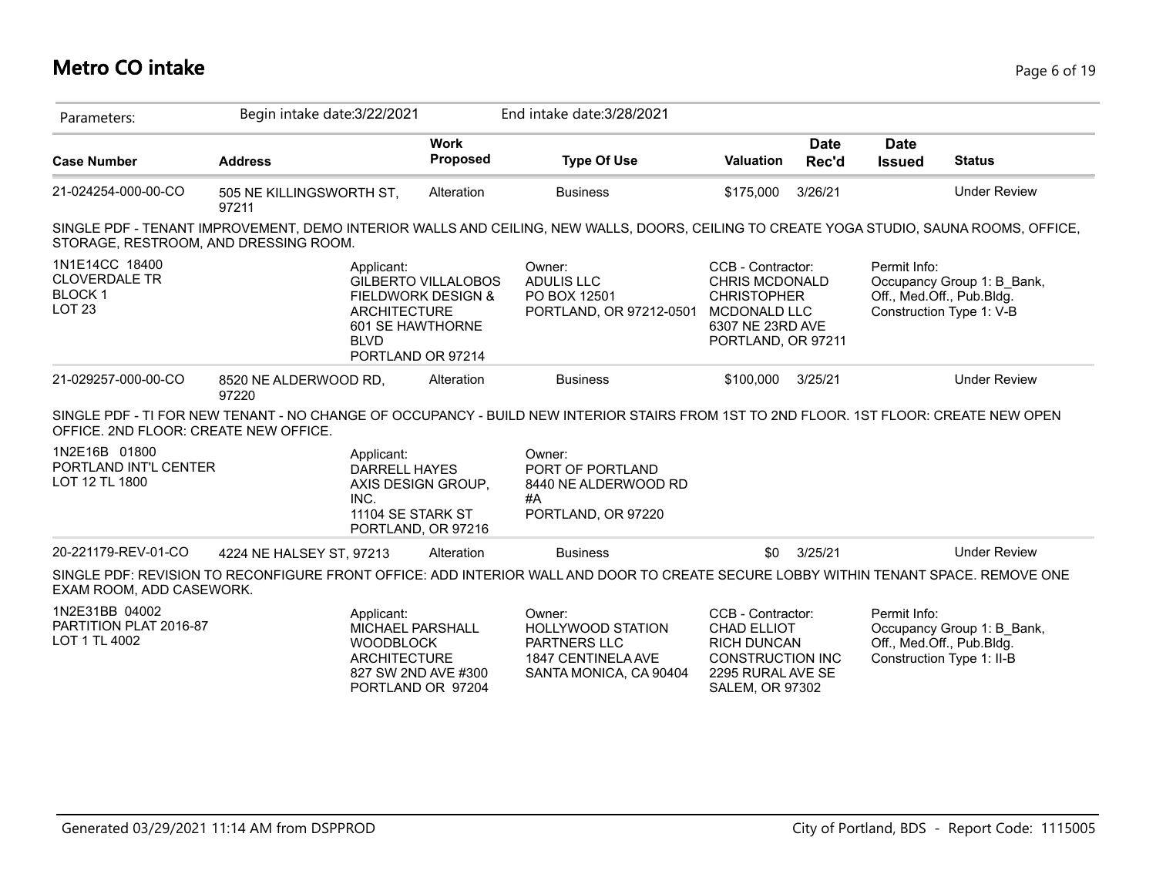# **Metro CO intake** Page 6 of 19

| Parameters:                                                                  | Begin intake date: 3/22/2021          |                                                                                                                             | End intake date: 3/28/2021                                                                                                              |                                                                                                                                   |                      |                              |                                                                                     |
|------------------------------------------------------------------------------|---------------------------------------|-----------------------------------------------------------------------------------------------------------------------------|-----------------------------------------------------------------------------------------------------------------------------------------|-----------------------------------------------------------------------------------------------------------------------------------|----------------------|------------------------------|-------------------------------------------------------------------------------------|
| <b>Case Number</b>                                                           | <b>Address</b>                        | <b>Work</b><br>Proposed                                                                                                     | <b>Type Of Use</b>                                                                                                                      | <b>Valuation</b>                                                                                                                  | <b>Date</b><br>Rec'd | <b>Date</b><br><b>Issued</b> | <b>Status</b>                                                                       |
| 21-024254-000-00-CO                                                          | 505 NE KILLINGSWORTH ST,<br>97211     | Alteration                                                                                                                  | <b>Business</b>                                                                                                                         | \$175,000                                                                                                                         | 3/26/21              |                              | <b>Under Review</b>                                                                 |
|                                                                              | STORAGE, RESTROOM, AND DRESSING ROOM. |                                                                                                                             | SINGLE PDF - TENANT IMPROVEMENT, DEMO INTERIOR WALLS AND CEILING, NEW WALLS, DOORS, CEILING TO CREATE YOGA STUDIO, SAUNA ROOMS, OFFICE, |                                                                                                                                   |                      |                              |                                                                                     |
| 1N1E14CC 18400<br><b>CLOVERDALE TR</b><br><b>BLOCK1</b><br>LOT <sub>23</sub> | Applicant:<br><b>BLVD</b>             | <b>GILBERTO VILLALOBOS</b><br><b>FIELDWORK DESIGN &amp;</b><br><b>ARCHITECTURE</b><br>601 SE HAWTHORNE<br>PORTLAND OR 97214 | Owner:<br><b>ADULIS LLC</b><br>PO BOX 12501<br>PORTLAND, OR 97212-0501                                                                  | CCB - Contractor:<br><b>CHRIS MCDONALD</b><br><b>CHRISTOPHER</b><br><b>MCDONALD LLC</b><br>6307 NE 23RD AVE<br>PORTLAND, OR 97211 |                      | Permit Info:                 | Occupancy Group 1: B Bank,<br>Off., Med.Off., Pub.Bldg.<br>Construction Type 1: V-B |
| 21-029257-000-00-CO                                                          | 8520 NE ALDERWOOD RD,<br>97220        | Alteration                                                                                                                  | <b>Business</b>                                                                                                                         | \$100,000                                                                                                                         | 3/25/21              |                              | <b>Under Review</b>                                                                 |
| OFFICE. 2ND FLOOR: CREATE NEW OFFICE.                                        |                                       |                                                                                                                             | SINGLE PDF - TI FOR NEW TENANT - NO CHANGE OF OCCUPANCY - BUILD NEW INTERIOR STAIRS FROM 1ST TO 2ND FLOOR. 1ST FLOOR: CREATE NEW OPEN   |                                                                                                                                   |                      |                              |                                                                                     |
| 1N2E16B 01800<br>PORTLAND INT'L CENTER<br>LOT 12 TL 1800                     | Applicant:<br>INC.                    | <b>DARRELL HAYES</b><br>AXIS DESIGN GROUP,<br>11104 SE STARK ST<br>PORTLAND, OR 97216                                       | Owner:<br>PORT OF PORTLAND<br>8440 NE ALDERWOOD RD<br>#A<br>PORTLAND, OR 97220                                                          |                                                                                                                                   |                      |                              |                                                                                     |
|                                                                              |                                       |                                                                                                                             |                                                                                                                                         |                                                                                                                                   |                      |                              |                                                                                     |
|                                                                              | 4224 NE HALSEY ST, 97213              | Alteration                                                                                                                  | <b>Business</b>                                                                                                                         | \$0                                                                                                                               | 3/25/21              |                              | <b>Under Review</b>                                                                 |
| 20-221179-REV-01-CO<br>EXAM ROOM, ADD CASEWORK.                              |                                       |                                                                                                                             | SINGLE PDF: REVISION TO RECONFIGURE FRONT OFFICE: ADD INTERIOR WALL AND DOOR TO CREATE SECURE LOBBY WITHIN TENANT SPACE. REMOVE ONE     |                                                                                                                                   |                      |                              |                                                                                     |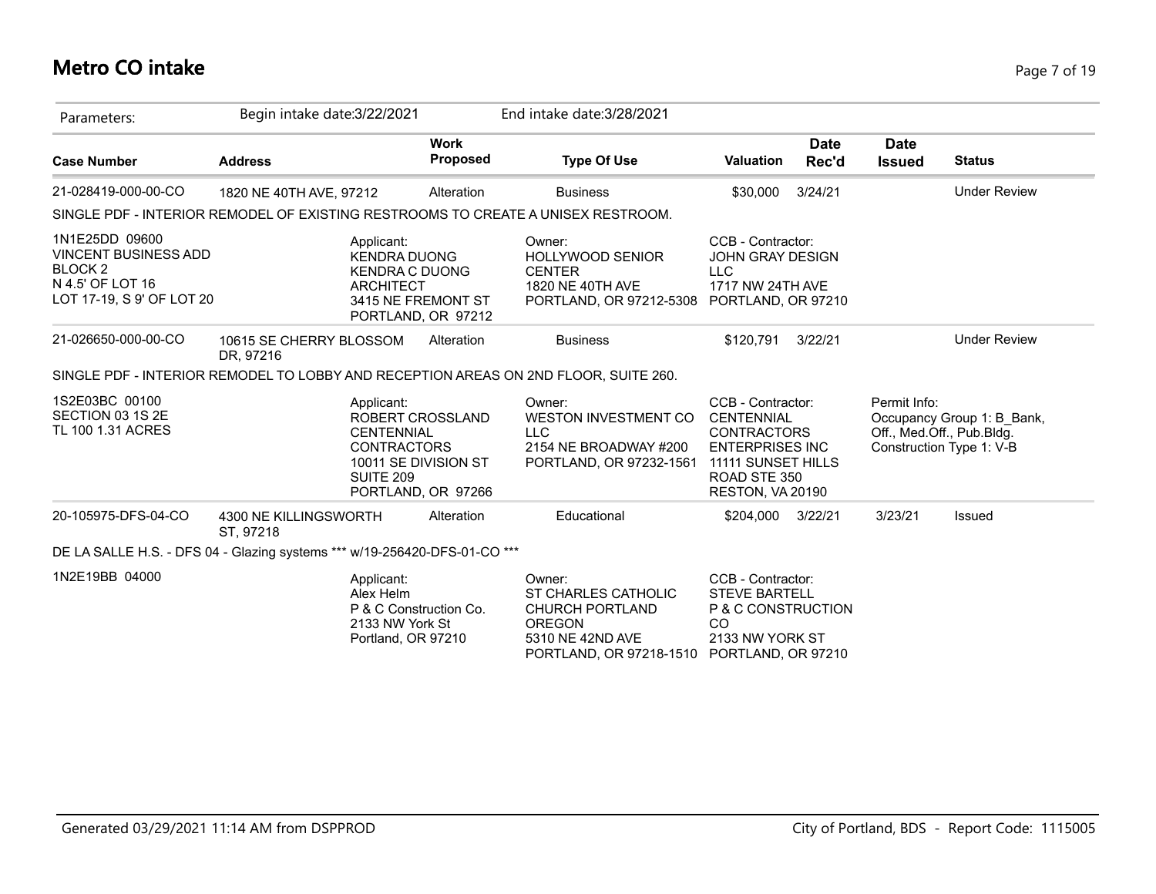# **Metro CO intake** Page 7 of 19

| Parameters:                                                                                                      | Begin intake date: 3/22/2021                                              |                                                                                                              | End intake date: 3/28/2021                                                                                              |                                                                                                                                                  |                      |                              |                                                                                     |
|------------------------------------------------------------------------------------------------------------------|---------------------------------------------------------------------------|--------------------------------------------------------------------------------------------------------------|-------------------------------------------------------------------------------------------------------------------------|--------------------------------------------------------------------------------------------------------------------------------------------------|----------------------|------------------------------|-------------------------------------------------------------------------------------|
| <b>Case Number</b>                                                                                               | <b>Address</b>                                                            | <b>Work</b><br><b>Proposed</b>                                                                               | <b>Type Of Use</b>                                                                                                      | <b>Valuation</b>                                                                                                                                 | <b>Date</b><br>Rec'd | <b>Date</b><br><b>Issued</b> | <b>Status</b>                                                                       |
| 21-028419-000-00-CO                                                                                              | 1820 NE 40TH AVE, 97212                                                   | Alteration                                                                                                   | <b>Business</b>                                                                                                         | \$30,000                                                                                                                                         | 3/24/21              |                              | <b>Under Review</b>                                                                 |
|                                                                                                                  |                                                                           |                                                                                                              | SINGLE PDF - INTERIOR REMODEL OF EXISTING RESTROOMS TO CREATE A UNISEX RESTROOM.                                        |                                                                                                                                                  |                      |                              |                                                                                     |
| 1N1E25DD 09600<br><b>VINCENT BUSINESS ADD</b><br><b>BLOCK 2</b><br>N 4.5' OF LOT 16<br>LOT 17-19, S 9' OF LOT 20 | Applicant:                                                                | <b>KENDRA DUONG</b><br><b>KENDRA C DUONG</b><br><b>ARCHITECT</b><br>3415 NE FREMONT ST<br>PORTLAND, OR 97212 | Owner:<br><b>HOLLYWOOD SENIOR</b><br><b>CENTER</b><br>1820 NE 40TH AVE<br>PORTLAND, OR 97212-5308 PORTLAND, OR 97210    | CCB - Contractor:<br><b>JOHN GRAY DESIGN</b><br><b>LLC</b><br>1717 NW 24TH AVE                                                                   |                      |                              |                                                                                     |
| 21-026650-000-00-CO                                                                                              | 10615 SE CHERRY BLOSSOM<br>DR, 97216                                      | Alteration                                                                                                   | <b>Business</b>                                                                                                         | \$120,791                                                                                                                                        | 3/22/21              |                              | <b>Under Review</b>                                                                 |
|                                                                                                                  |                                                                           |                                                                                                              | SINGLE PDF - INTERIOR REMODEL TO LOBBY AND RECEPTION AREAS ON 2ND FLOOR, SUITE 260.                                     |                                                                                                                                                  |                      |                              |                                                                                     |
| 1S2E03BC 00100<br>SECTION 03 1S 2E<br>TL 100 1.31 ACRES                                                          | Applicant:<br><b>SUITE 209</b>                                            | ROBERT CROSSLAND<br><b>CENTENNIAL</b><br><b>CONTRACTORS</b><br>10011 SE DIVISION ST<br>PORTLAND, OR 97266    | Owner:<br><b>WESTON INVESTMENT CO</b><br><b>LLC</b><br>2154 NE BROADWAY #200<br>PORTLAND, OR 97232-1561                 | CCB - Contractor:<br><b>CENTENNIAL</b><br><b>CONTRACTORS</b><br><b>ENTERPRISES INC</b><br>11111 SUNSET HILLS<br>ROAD STE 350<br>RESTON, VA 20190 |                      | Permit Info:                 | Occupancy Group 1: B_Bank,<br>Off., Med.Off., Pub.Bldg.<br>Construction Type 1: V-B |
| 20-105975-DFS-04-CO                                                                                              | 4300 NE KILLINGSWORTH<br>ST, 97218                                        | Alteration                                                                                                   | Educational                                                                                                             | \$204,000 3/22/21                                                                                                                                |                      | 3/23/21                      | Issued                                                                              |
|                                                                                                                  | DE LA SALLE H.S. - DFS 04 - Glazing systems *** w/19-256420-DFS-01-CO *** |                                                                                                              |                                                                                                                         |                                                                                                                                                  |                      |                              |                                                                                     |
| 1N2E19BB 04000                                                                                                   | Applicant:<br>Alex Helm                                                   | P & C Construction Co.<br>2133 NW York St<br>Portland, OR 97210                                              | Owner:<br>ST CHARLES CATHOLIC<br><b>CHURCH PORTLAND</b><br><b>OREGON</b><br>5310 NE 42ND AVE<br>PORTLAND, OR 97218-1510 | CCB - Contractor:<br><b>STEVE BARTELL</b><br>P & C CONSTRUCTION<br><sub>CO</sub><br>2133 NW YORK ST<br>PORTLAND, OR 97210                        |                      |                              |                                                                                     |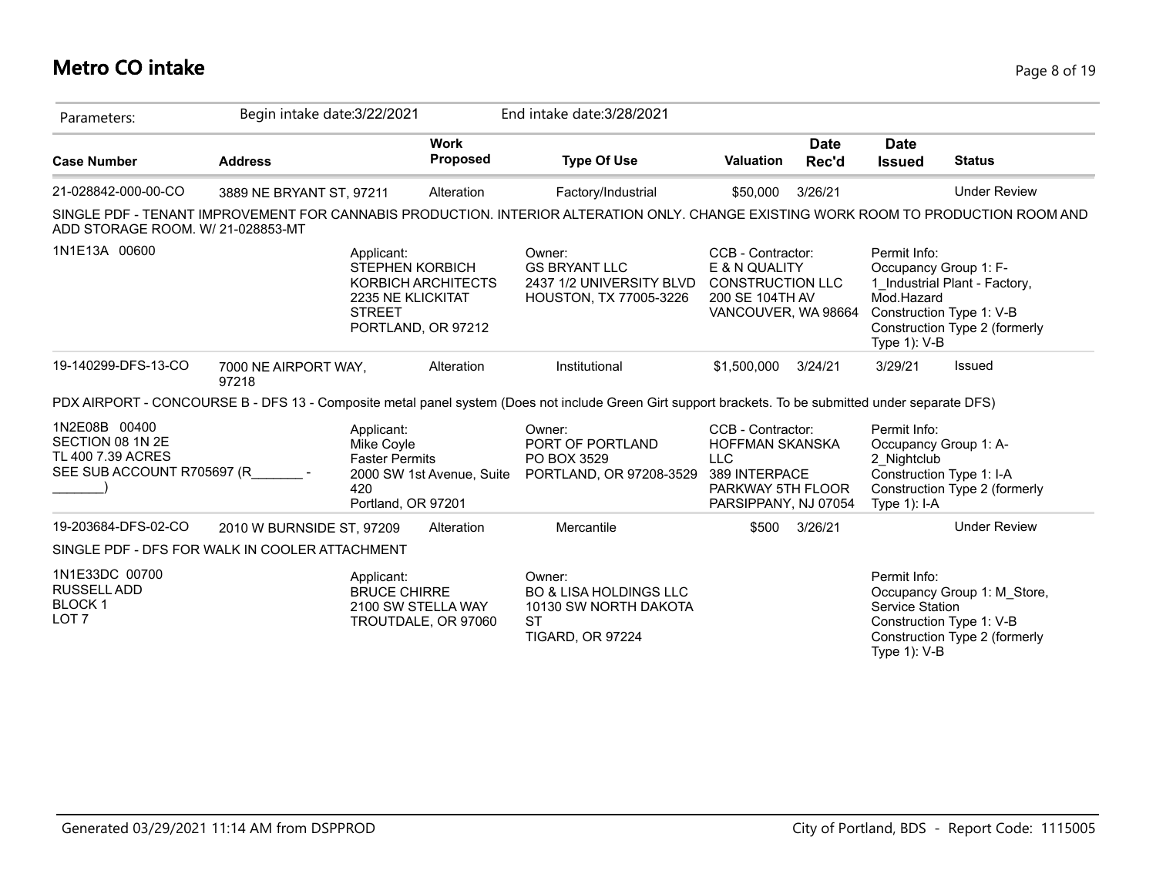# **Metro CO intake** Page 8 of 19

| Parameters:                                                                          | Begin intake date: 3/22/2021                   |                                                                                                | End intake date: 3/28/2021                                                                                                                           |                                                                                                                         |                      |                                                                                                     |                                                                                            |
|--------------------------------------------------------------------------------------|------------------------------------------------|------------------------------------------------------------------------------------------------|------------------------------------------------------------------------------------------------------------------------------------------------------|-------------------------------------------------------------------------------------------------------------------------|----------------------|-----------------------------------------------------------------------------------------------------|--------------------------------------------------------------------------------------------|
| <b>Case Number</b>                                                                   | <b>Address</b>                                 | <b>Work</b><br><b>Proposed</b>                                                                 | <b>Type Of Use</b>                                                                                                                                   | <b>Valuation</b>                                                                                                        | <b>Date</b><br>Rec'd | <b>Date</b><br><b>Issued</b>                                                                        | <b>Status</b>                                                                              |
| 21-028842-000-00-CO                                                                  | 3889 NE BRYANT ST. 97211                       | Alteration                                                                                     | Factory/Industrial                                                                                                                                   | \$50,000                                                                                                                | 3/26/21              |                                                                                                     | <b>Under Review</b>                                                                        |
| ADD STORAGE ROOM. W/ 21-028853-MT                                                    |                                                |                                                                                                | SINGLE PDF - TENANT IMPROVEMENT FOR CANNABIS PRODUCTION. INTERIOR ALTERATION ONLY. CHANGE EXISTING WORK ROOM TO PRODUCTION ROOM AND                  |                                                                                                                         |                      |                                                                                                     |                                                                                            |
| 1N1E13A 00600                                                                        | Applicant:<br><b>STREET</b>                    | <b>STEPHEN KORBICH</b><br>KORBICH ARCHITECTS<br><b>2235 NE KLICKITAT</b><br>PORTLAND, OR 97212 | Owner:<br><b>GS BRYANT LLC</b><br>2437 1/2 UNIVERSITY BLVD<br>HOUSTON, TX 77005-3226                                                                 | CCB - Contractor:<br>E & N QUALITY<br><b>CONSTRUCTION LLC</b><br>200 SE 104TH AV<br>VANCOUVER, WA 98664                 |                      | Permit Info:<br>Occupancy Group 1: F-<br>Mod.Hazard<br>Type $1$ ): V-B                              | 1 Industrial Plant - Factory,<br>Construction Type 1: V-B<br>Construction Type 2 (formerly |
| 19-140299-DFS-13-CO                                                                  | 7000 NE AIRPORT WAY,<br>97218                  | Alteration                                                                                     | Institutional                                                                                                                                        | \$1,500,000                                                                                                             | 3/24/21              | 3/29/21                                                                                             | Issued                                                                                     |
|                                                                                      |                                                |                                                                                                | PDX AIRPORT - CONCOURSE B - DFS 13 - Composite metal panel system (Does not include Green Girt support brackets. To be submitted under separate DFS) |                                                                                                                         |                      |                                                                                                     |                                                                                            |
| 1N2E08B 00400<br>SECTION 08 1N 2E<br>TL 400 7.39 ACRES<br>SEE SUB ACCOUNT R705697 (R | Applicant:<br>Mike Coyle<br>420                | <b>Faster Permits</b><br>2000 SW 1st Avenue, Suite<br>Portland, OR 97201                       | Owner:<br>PORT OF PORTLAND<br>PO BOX 3529<br>PORTLAND, OR 97208-3529                                                                                 | CCB - Contractor:<br><b>HOFFMAN SKANSKA</b><br><b>LLC</b><br>389 INTERPACE<br>PARKWAY 5TH FLOOR<br>PARSIPPANY, NJ 07054 |                      | Permit Info:<br>Occupancy Group 1: A-<br>2_Nightclub<br>Construction Type 1: I-A<br>Type $1$ ): I-A | Construction Type 2 (formerly                                                              |
| 19-203684-DFS-02-CO                                                                  | 2010 W BURNSIDE ST, 97209                      | Alteration                                                                                     | Mercantile                                                                                                                                           | \$500                                                                                                                   | 3/26/21              |                                                                                                     | <b>Under Review</b>                                                                        |
|                                                                                      | SINGLE PDF - DFS FOR WALK IN COOLER ATTACHMENT |                                                                                                |                                                                                                                                                      |                                                                                                                         |                      |                                                                                                     |                                                                                            |
| 1N1E33DC 00700<br><b>RUSSELL ADD</b><br><b>BLOCK1</b><br>LOT <sub>7</sub>            | Applicant:                                     | <b>BRUCE CHIRRE</b><br>2100 SW STELLA WAY<br>TROUTDALE, OR 97060                               | Owner:<br><b>BO &amp; LISA HOLDINGS LLC</b><br>10130 SW NORTH DAKOTA<br>ST<br><b>TIGARD, OR 97224</b>                                                |                                                                                                                         |                      | Permit Info:<br>Service Station<br>Type 1): V-B                                                     | Occupancy Group 1: M Store,<br>Construction Type 1: V-B<br>Construction Type 2 (formerly   |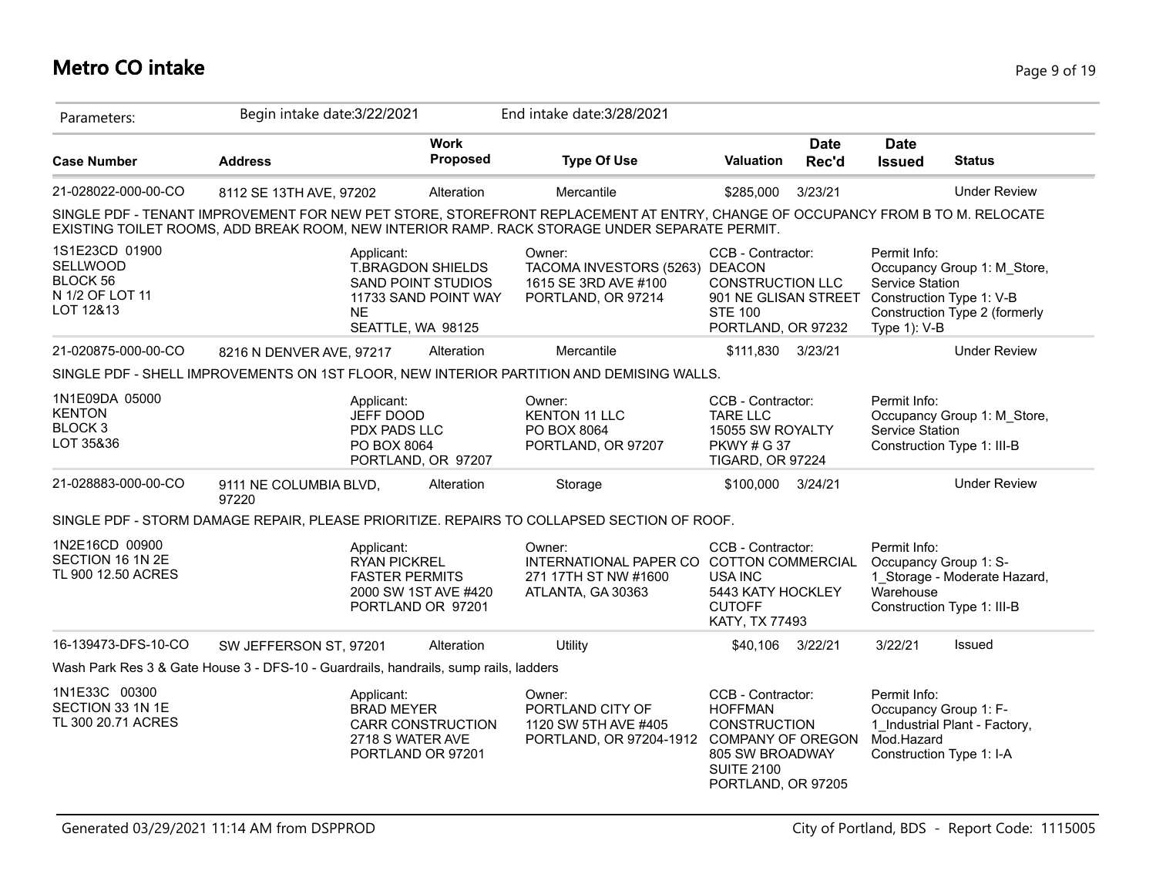# **Metro CO intake** Page 9 of 19

| Parameters:                                                            | Begin intake date: 3/22/2021                                                         |                                                                                             | End intake date: 3/28/2021                                                                                                                                                                                                     |                                                                                                                                                      |                      |                                                        |                                                                                          |
|------------------------------------------------------------------------|--------------------------------------------------------------------------------------|---------------------------------------------------------------------------------------------|--------------------------------------------------------------------------------------------------------------------------------------------------------------------------------------------------------------------------------|------------------------------------------------------------------------------------------------------------------------------------------------------|----------------------|--------------------------------------------------------|------------------------------------------------------------------------------------------|
| <b>Case Number</b>                                                     | <b>Address</b>                                                                       | <b>Work</b><br><b>Proposed</b>                                                              | <b>Type Of Use</b>                                                                                                                                                                                                             | <b>Valuation</b>                                                                                                                                     | <b>Date</b><br>Rec'd | <b>Date</b><br><b>Issued</b>                           | <b>Status</b>                                                                            |
| 21-028022-000-00-CO                                                    | 8112 SE 13TH AVE, 97202                                                              | Alteration                                                                                  | Mercantile                                                                                                                                                                                                                     | \$285,000                                                                                                                                            | 3/23/21              |                                                        | <b>Under Review</b>                                                                      |
|                                                                        |                                                                                      |                                                                                             | SINGLE PDF - TENANT IMPROVEMENT FOR NEW PET STORE, STOREFRONT REPLACEMENT AT ENTRY, CHANGE OF OCCUPANCY FROM B TO M. RELOCATE<br>EXISTING TOILET ROOMS, ADD BREAK ROOM, NEW INTERIOR RAMP. RACK STORAGE UNDER SEPARATE PERMIT. |                                                                                                                                                      |                      |                                                        |                                                                                          |
| 1S1E23CD 01900<br>SELLWOOD<br>BLOCK 56<br>N 1/2 OF LOT 11<br>LOT 12&13 | Applicant:<br><b>NE</b>                                                              | <b>T.BRAGDON SHIELDS</b><br>SAND POINT STUDIOS<br>11733 SAND POINT WAY<br>SEATTLE, WA 98125 | Owner:<br>TACOMA INVESTORS (5263) DEACON<br>1615 SE 3RD AVE #100<br>PORTLAND, OR 97214                                                                                                                                         | CCB - Contractor:<br><b>CONSTRUCTION LLC</b><br>901 NE GLISAN STREET<br><b>STE 100</b><br>PORTLAND, OR 97232                                         |                      | Permit Info:<br><b>Service Station</b><br>Type 1): V-B | Occupancy Group 1: M_Store,<br>Construction Type 1: V-B<br>Construction Type 2 (formerly |
| 21-020875-000-00-CO                                                    | 8216 N DENVER AVE, 97217                                                             | Alteration                                                                                  | Mercantile                                                                                                                                                                                                                     | \$111,830 3/23/21                                                                                                                                    |                      |                                                        | <b>Under Review</b>                                                                      |
|                                                                        |                                                                                      |                                                                                             | SINGLE PDF - SHELL IMPROVEMENTS ON 1ST FLOOR, NEW INTERIOR PARTITION AND DEMISING WALLS.                                                                                                                                       |                                                                                                                                                      |                      |                                                        |                                                                                          |
| 1N1E09DA 05000<br><b>KENTON</b><br>BLOCK <sub>3</sub><br>LOT 35&36     | Applicant:<br>JEFF DOOD<br>PDX PADS LLC<br>PO BOX 8064                               | PORTLAND, OR 97207                                                                          | Owner:<br><b>KENTON 11 LLC</b><br>PO BOX 8064<br>PORTLAND, OR 97207                                                                                                                                                            | CCB - Contractor:<br><b>TARE LLC</b><br>15055 SW ROYALTY<br><b>PKWY#G37</b><br>TIGARD, OR 97224                                                      |                      | Permit Info:<br>Service Station                        | Occupancy Group 1: M Store,<br>Construction Type 1: III-B                                |
| 21-028883-000-00-CO                                                    | 9111 NE COLUMBIA BLVD,<br>97220                                                      | Alteration                                                                                  | Storage                                                                                                                                                                                                                        | \$100,000 3/24/21                                                                                                                                    |                      |                                                        | <b>Under Review</b>                                                                      |
|                                                                        |                                                                                      |                                                                                             | SINGLE PDF - STORM DAMAGE REPAIR, PLEASE PRIORITIZE. REPAIRS TO COLLAPSED SECTION OF ROOF.                                                                                                                                     |                                                                                                                                                      |                      |                                                        |                                                                                          |
| 1N2E16CD 00900<br>SECTION 16 1N 2E<br>TL 900 12.50 ACRES               | Applicant:<br><b>RYAN PICKREL</b>                                                    | <b>FASTER PERMITS</b><br>2000 SW 1ST AVE #420<br>PORTLAND OR 97201                          | Owner:<br>INTERNATIONAL PAPER CO COTTON COMMERCIAL<br>271 17TH ST NW #1600<br>ATLANTA, GA 30363                                                                                                                                | CCB - Contractor:<br>USA INC<br>5443 KATY HOCKLEY<br><b>CUTOFF</b><br>KATY, TX 77493                                                                 |                      | Permit Info:<br>Occupancy Group 1: S-<br>Warehouse     | 1 Storage - Moderate Hazard,<br>Construction Type 1: III-B                               |
| 16-139473-DFS-10-CO                                                    | SW JEFFERSON ST, 97201                                                               | Alteration                                                                                  | Utility                                                                                                                                                                                                                        | \$40,106                                                                                                                                             | 3/22/21              | 3/22/21                                                | Issued                                                                                   |
|                                                                        | Wash Park Res 3 & Gate House 3 - DFS-10 - Guardrails, handrails, sump rails, ladders |                                                                                             |                                                                                                                                                                                                                                |                                                                                                                                                      |                      |                                                        |                                                                                          |
| 1N1E33C 00300<br>SECTION 33 1N 1E<br>TL 300 20.71 ACRES                | Applicant:<br><b>BRAD MEYER</b>                                                      | <b>CARR CONSTRUCTION</b><br>2718 S WATER AVE<br>PORTLAND OR 97201                           | Owner:<br>PORTLAND CITY OF<br>1120 SW 5TH AVE #405<br>PORTLAND, OR 97204-1912                                                                                                                                                  | CCB - Contractor:<br><b>HOFFMAN</b><br><b>CONSTRUCTION</b><br><b>COMPANY OF OREGON</b><br>805 SW BROADWAY<br><b>SUITE 2100</b><br>PORTLAND, OR 97205 |                      | Permit Info:<br>Occupancy Group 1: F-<br>Mod.Hazard    | 1 Industrial Plant - Factory,<br>Construction Type 1: I-A                                |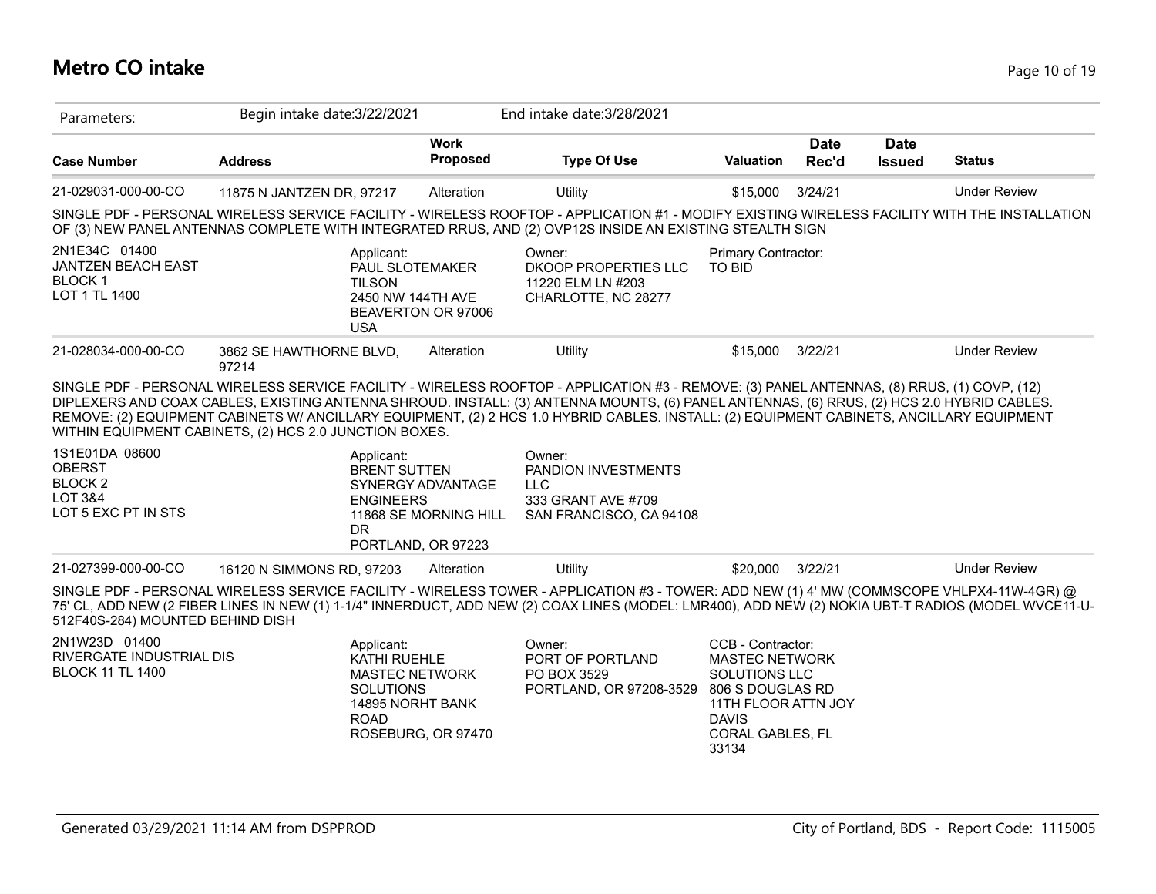### **Metro CO intake** Page 10 of 19

| Parameters:                                                                        | Begin intake date: 3/22/2021                                         |                                                                 | End intake date: 3/28/2021                                                                                                                                                                                                                                                                                                                                                                                                          |                                                                                                                                                     |                      |                              |                     |
|------------------------------------------------------------------------------------|----------------------------------------------------------------------|-----------------------------------------------------------------|-------------------------------------------------------------------------------------------------------------------------------------------------------------------------------------------------------------------------------------------------------------------------------------------------------------------------------------------------------------------------------------------------------------------------------------|-----------------------------------------------------------------------------------------------------------------------------------------------------|----------------------|------------------------------|---------------------|
| <b>Case Number</b>                                                                 | <b>Address</b>                                                       | <b>Work</b><br><b>Proposed</b>                                  | <b>Type Of Use</b>                                                                                                                                                                                                                                                                                                                                                                                                                  | Valuation                                                                                                                                           | <b>Date</b><br>Rec'd | <b>Date</b><br><b>Issued</b> | <b>Status</b>       |
| 21-029031-000-00-CO                                                                | 11875 N JANTZEN DR, 97217                                            | Alteration                                                      | Utility                                                                                                                                                                                                                                                                                                                                                                                                                             | \$15,000                                                                                                                                            | 3/24/21              |                              | <b>Under Review</b> |
|                                                                                    |                                                                      |                                                                 | SINGLE PDF - PERSONAL WIRELESS SERVICE FACILITY - WIRELESS ROOFTOP - APPLICATION #1 - MODIFY EXISTING WIRELESS FACILITY WITH THE INSTALLATION<br>OF (3) NEW PANEL ANTENNAS COMPLETE WITH INTEGRATED RRUS, AND (2) OVP12S INSIDE AN EXISTING STEALTH SIGN                                                                                                                                                                            |                                                                                                                                                     |                      |                              |                     |
| 2N1E34C 01400<br>JANTZEN BEACH EAST<br><b>BLOCK1</b><br>LOT 1 TL 1400              | Applicant:<br><b>TILSON</b><br><b>USA</b>                            | PAUL SLOTEMAKER<br>2450 NW 144TH AVE<br>BEAVERTON OR 97006      | Owner:<br>DKOOP PROPERTIES LLC<br>11220 ELM LN #203<br>CHARLOTTE, NC 28277                                                                                                                                                                                                                                                                                                                                                          | Primary Contractor:<br><b>TO BID</b>                                                                                                                |                      |                              |                     |
| 21-028034-000-00-CO                                                                | 3862 SE HAWTHORNE BLVD,<br>97214                                     | Alteration                                                      | Utility                                                                                                                                                                                                                                                                                                                                                                                                                             | \$15,000                                                                                                                                            | 3/22/21              |                              | <b>Under Review</b> |
|                                                                                    | WITHIN EQUIPMENT CABINETS, (2) HCS 2.0 JUNCTION BOXES.               |                                                                 | SINGLE PDF - PERSONAL WIRELESS SERVICE FACILITY - WIRELESS ROOFTOP - APPLICATION #3 - REMOVE: (3) PANEL ANTENNAS, (8) RRUS, (1) COVP, (12)<br>DIPLEXERS AND COAX CABLES, EXISTING ANTENNA SHROUD. INSTALL: (3) ANTENNA MOUNTS, (6) PANEL ANTENNAS, (6) RRUS, (2) HCS 2.0 HYBRID CABLES.<br>REMOVE: (2) EQUIPMENT CABINETS W/ ANCILLARY EQUIPMENT, (2) 2 HCS 1.0 HYBRID CABLES. INSTALL: (2) EQUIPMENT CABINETS, ANCILLARY EQUIPMENT |                                                                                                                                                     |                      |                              |                     |
| 1S1E01DA 08600<br><b>OBERST</b><br><b>BLOCK2</b><br>LOT 3&4<br>LOT 5 EXC PT IN STS | Applicant:<br><b>BRENT SUTTEN</b><br><b>ENGINEERS</b><br>DR.         | SYNERGY ADVANTAGE<br>11868 SE MORNING HILL                      | Owner:<br>PANDION INVESTMENTS<br><b>LLC</b><br>333 GRANT AVE #709<br>SAN FRANCISCO, CA 94108                                                                                                                                                                                                                                                                                                                                        |                                                                                                                                                     |                      |                              |                     |
| 21-027399-000-00-CO                                                                | 16120 N SIMMONS RD, 97203                                            | PORTLAND, OR 97223<br>Alteration                                | Utility                                                                                                                                                                                                                                                                                                                                                                                                                             | \$20,000                                                                                                                                            | 3/22/21              |                              | <b>Under Review</b> |
| 512F40S-284) MOUNTED BEHIND DISH                                                   |                                                                      |                                                                 | SINGLE PDF - PERSONAL WIRELESS SERVICE FACILITY - WIRELESS TOWER - APPLICATION #3 - TOWER: ADD NEW (1) 4' MW (COMMSCOPE VHLPX4-11W-4GR) @<br>75' CL, ADD NEW (2 FIBER LINES IN NEW (1) 1-1/4" INNERDUCT, ADD NEW (2) COAX LINES (MODEL: LMR400), ADD NEW (2) NOKIA UBT-T RADIOS (MODEL WVCE11-U-                                                                                                                                    |                                                                                                                                                     |                      |                              |                     |
| 2N1W23D 01400<br>RIVERGATE INDUSTRIAL DIS<br><b>BLOCK 11 TL 1400</b>               | Applicant:<br><b>KATHI RUEHLE</b><br><b>SOLUTIONS</b><br><b>ROAD</b> | <b>MASTEC NETWORK</b><br>14895 NORHT BANK<br>ROSEBURG, OR 97470 | Owner:<br>PORT OF PORTLAND<br>PO BOX 3529<br>PORTLAND, OR 97208-3529                                                                                                                                                                                                                                                                                                                                                                | CCB - Contractor:<br><b>MASTEC NETWORK</b><br>SOLUTIONS LLC<br>806 S DOUGLAS RD<br>11TH FLOOR ATTN JOY<br><b>DAVIS</b><br>CORAL GABLES, FL<br>33134 |                      |                              |                     |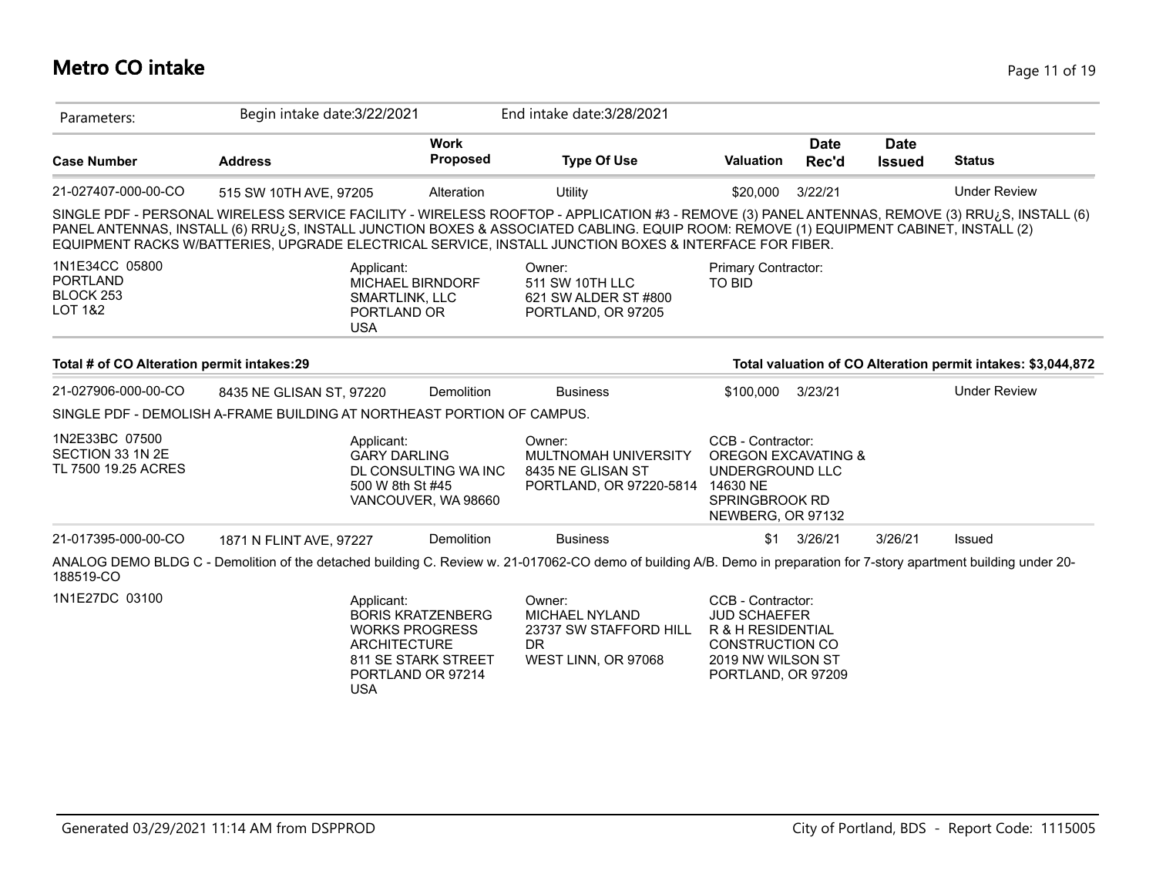### **Metro CO intake** Page 11 of 19

| Parameters:                                                            | Begin intake date: 3/22/2021 |                                                                                               |                                                 | End intake date: 3/28/2021                                                                                                                                                                                                                                                                                                                                                                                     |                                                                                                                                    |                                |                       |                                                              |
|------------------------------------------------------------------------|------------------------------|-----------------------------------------------------------------------------------------------|-------------------------------------------------|----------------------------------------------------------------------------------------------------------------------------------------------------------------------------------------------------------------------------------------------------------------------------------------------------------------------------------------------------------------------------------------------------------------|------------------------------------------------------------------------------------------------------------------------------------|--------------------------------|-----------------------|--------------------------------------------------------------|
| <b>Case Number</b>                                                     | <b>Address</b>               |                                                                                               | <b>Work</b><br><b>Proposed</b>                  | <b>Type Of Use</b>                                                                                                                                                                                                                                                                                                                                                                                             | <b>Valuation</b>                                                                                                                   | <b>Date</b><br>Rec'd           | Date<br><b>Issued</b> | <b>Status</b>                                                |
| 21-027407-000-00-CO                                                    | 515 SW 10TH AVE, 97205       |                                                                                               | Alteration                                      | Utility                                                                                                                                                                                                                                                                                                                                                                                                        | \$20,000                                                                                                                           | 3/22/21                        |                       | <b>Under Review</b>                                          |
|                                                                        |                              |                                                                                               |                                                 | SINGLE PDF - PERSONAL WIRELESS SERVICE FACILITY - WIRELESS ROOFTOP - APPLICATION #3 - REMOVE (3) PANEL ANTENNAS, REMOVE (3) RRU¿S, INSTALL (6)<br>PANEL ANTENNAS, INSTALL (6) RRU <sub>i</sub> S, INSTALL JUNCTION BOXES & ASSOCIATED CABLING. EQUIP ROOM: REMOVE (1) EQUIPMENT CABINET, INSTALL (2)<br>EQUIPMENT RACKS W/BATTERIES, UPGRADE ELECTRICAL SERVICE, INSTALL JUNCTION BOXES & INTERFACE FOR FIBER. |                                                                                                                                    |                                |                       |                                                              |
| 1N1E34CC 05800<br><b>PORTLAND</b><br>BLOCK 253<br><b>LOT 1&amp;2</b>   |                              | Applicant:<br><b>MICHAEL BIRNDORF</b><br><b>SMARTLINK, LLC</b><br>PORTLAND OR<br><b>USA</b>   |                                                 | Owner:<br>511 SW 10TH LLC<br>621 SW ALDER ST #800<br>PORTLAND, OR 97205                                                                                                                                                                                                                                                                                                                                        | Primary Contractor:<br>TO BID                                                                                                      |                                |                       |                                                              |
| Total # of CO Alteration permit intakes:29                             |                              |                                                                                               |                                                 |                                                                                                                                                                                                                                                                                                                                                                                                                |                                                                                                                                    |                                |                       | Total valuation of CO Alteration permit intakes: \$3,044,872 |
| 21-027906-000-00-CO                                                    | 8435 NE GLISAN ST, 97220     |                                                                                               | Demolition                                      | <b>Business</b>                                                                                                                                                                                                                                                                                                                                                                                                | \$100,000                                                                                                                          | 3/23/21                        |                       | <b>Under Review</b>                                          |
| SINGLE PDF - DEMOLISH A-FRAME BUILDING AT NORTHEAST PORTION OF CAMPUS. |                              |                                                                                               |                                                 |                                                                                                                                                                                                                                                                                                                                                                                                                |                                                                                                                                    |                                |                       |                                                              |
| 1N2E33BC 07500<br>SECTION 33 1N 2E<br>TL 7500 19.25 ACRES              |                              | Applicant:<br><b>GARY DARLING</b><br>500 W 8th St #45                                         | DL CONSULTING WA INC<br>VANCOUVER, WA 98660     | Owner:<br>MULTNOMAH UNIVERSITY<br>8435 NE GLISAN ST<br>PORTLAND, OR 97220-5814                                                                                                                                                                                                                                                                                                                                 | CCB - Contractor:<br>UNDERGROUND LLC<br>14630 NE<br>SPRINGBROOK RD<br>NEWBERG, OR 97132                                            | <b>OREGON EXCAVATING &amp;</b> |                       |                                                              |
| 21-017395-000-00-CO                                                    | 1871 N FLINT AVE, 97227      |                                                                                               | <b>Demolition</b>                               | <b>Business</b>                                                                                                                                                                                                                                                                                                                                                                                                | \$1                                                                                                                                | 3/26/21                        | 3/26/21               | Issued                                                       |
| 188519-CO                                                              |                              |                                                                                               |                                                 | ANALOG DEMO BLDG C - Demolition of the detached building C. Review w. 21-017062-CO demo of building A/B. Demo in preparation for 7-story apartment building under 20-                                                                                                                                                                                                                                          |                                                                                                                                    |                                |                       |                                                              |
| 1N1E27DC 03100                                                         |                              | Applicant:<br><b>WORKS PROGRESS</b><br><b>ARCHITECTURE</b><br>PORTLAND OR 97214<br><b>USA</b> | <b>BORIS KRATZENBERG</b><br>811 SE STARK STREET | Owner:<br>MICHAEL NYLAND<br>23737 SW STAFFORD HILL<br>DR.<br>WEST LINN, OR 97068                                                                                                                                                                                                                                                                                                                               | CCB - Contractor:<br><b>JUD SCHAEFER</b><br>R & H RESIDENTIAL<br><b>CONSTRUCTION CO</b><br>2019 NW WILSON ST<br>PORTLAND, OR 97209 |                                |                       |                                                              |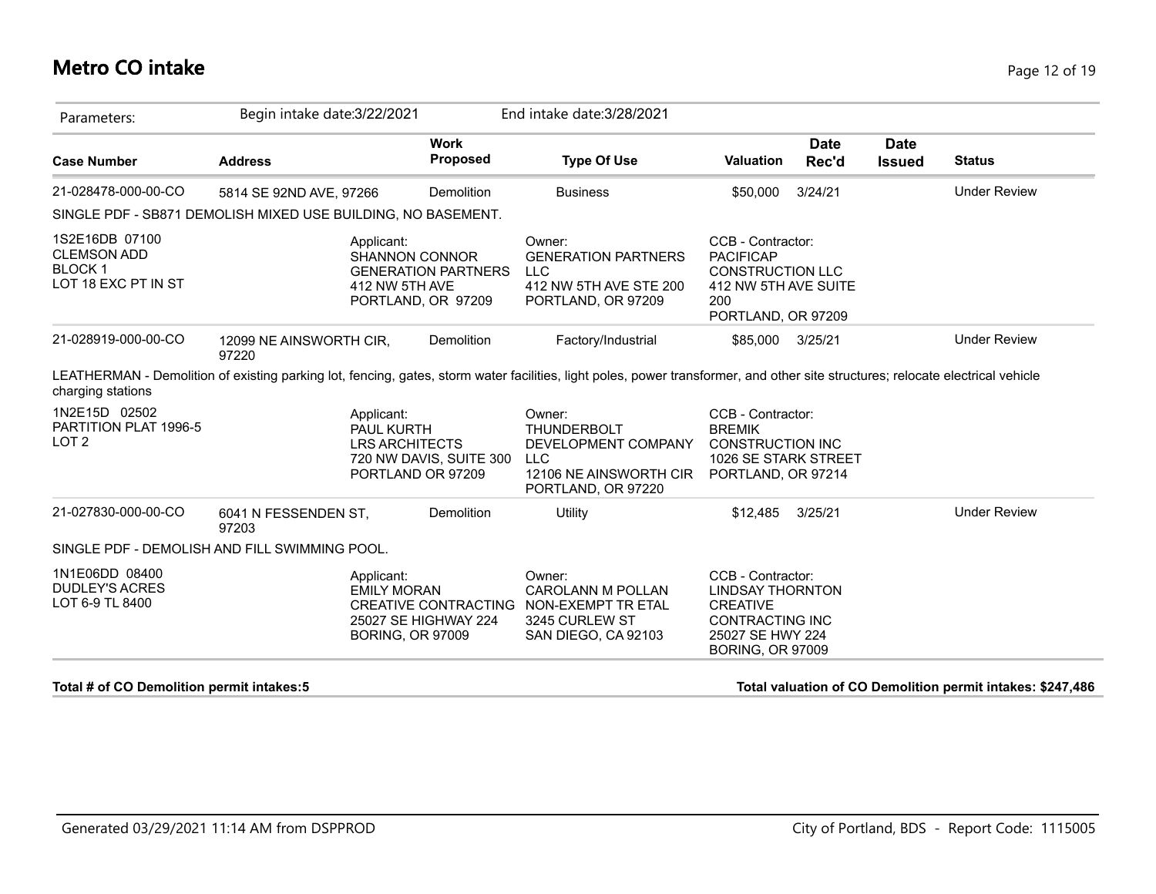### **Metro CO intake** Page 12 of 19

| Parameters:                                                                  | Begin intake date: 3/22/2021     |                                                                               |                            | End intake date: 3/28/2021                                                                                                                                                      |                                                                                                                       |                      |                              |                     |
|------------------------------------------------------------------------------|----------------------------------|-------------------------------------------------------------------------------|----------------------------|---------------------------------------------------------------------------------------------------------------------------------------------------------------------------------|-----------------------------------------------------------------------------------------------------------------------|----------------------|------------------------------|---------------------|
| <b>Case Number</b>                                                           | <b>Address</b>                   |                                                                               | <b>Work</b><br>Proposed    | <b>Type Of Use</b>                                                                                                                                                              | <b>Valuation</b>                                                                                                      | <b>Date</b><br>Rec'd | <b>Date</b><br><b>Issued</b> | <b>Status</b>       |
| 21-028478-000-00-CO                                                          | 5814 SE 92ND AVE, 97266          |                                                                               | Demolition                 | <b>Business</b>                                                                                                                                                                 | \$50,000                                                                                                              | 3/24/21              |                              | <b>Under Review</b> |
| SINGLE PDF - SB871 DEMOLISH MIXED USE BUILDING, NO BASEMENT.                 |                                  |                                                                               |                            |                                                                                                                                                                                 |                                                                                                                       |                      |                              |                     |
| 1S2E16DB 07100<br><b>CLEMSON ADD</b><br><b>BLOCK1</b><br>LOT 18 EXC PT IN ST |                                  | Applicant:<br><b>SHANNON CONNOR</b><br>412 NW 5TH AVE<br>PORTLAND, OR 97209   | <b>GENERATION PARTNERS</b> | Owner:<br><b>GENERATION PARTNERS</b><br><b>LLC</b><br>412 NW 5TH AVE STE 200<br>PORTLAND, OR 97209                                                                              | CCB - Contractor:<br><b>PACIFICAP</b><br><b>CONSTRUCTION LLC</b><br>412 NW 5TH AVE SUITE<br>200<br>PORTLAND, OR 97209 |                      |                              |                     |
| 21-028919-000-00-CO                                                          | 12099 NE AINSWORTH CIR,<br>97220 |                                                                               | Demolition                 | Factory/Industrial                                                                                                                                                              | \$85,000 3/25/21                                                                                                      |                      |                              | <b>Under Review</b> |
|                                                                              |                                  |                                                                               |                            |                                                                                                                                                                                 |                                                                                                                       |                      |                              |                     |
| charging stations                                                            |                                  |                                                                               |                            | LEATHERMAN - Demolition of existing parking lot, fencing, gates, storm water facilities, light poles, power transformer, and other site structures; relocate electrical vehicle |                                                                                                                       |                      |                              |                     |
| 1N2E15D 02502<br>PARTITION PLAT 1996-5<br>LOT <sub>2</sub>                   |                                  | Applicant:<br><b>PAUL KURTH</b><br><b>LRS ARCHITECTS</b><br>PORTLAND OR 97209 | 720 NW DAVIS, SUITE 300    | Owner:<br><b>THUNDERBOLT</b><br>DEVELOPMENT COMPANY<br>LLC<br>12106 NE AINSWORTH CIR<br>PORTLAND, OR 97220                                                                      | CCB - Contractor:<br><b>BREMIK</b><br><b>CONSTRUCTION INC</b><br>1026 SE STARK STREET<br>PORTLAND, OR 97214           |                      |                              |                     |
| 21-027830-000-00-CO                                                          | 6041 N FESSENDEN ST,<br>97203    |                                                                               | <b>Demolition</b>          | Utility                                                                                                                                                                         | \$12,485                                                                                                              | 3/25/21              |                              | <b>Under Review</b> |
| SINGLE PDF - DEMOLISH AND FILL SWIMMING POOL.                                |                                  |                                                                               |                            |                                                                                                                                                                                 |                                                                                                                       |                      |                              |                     |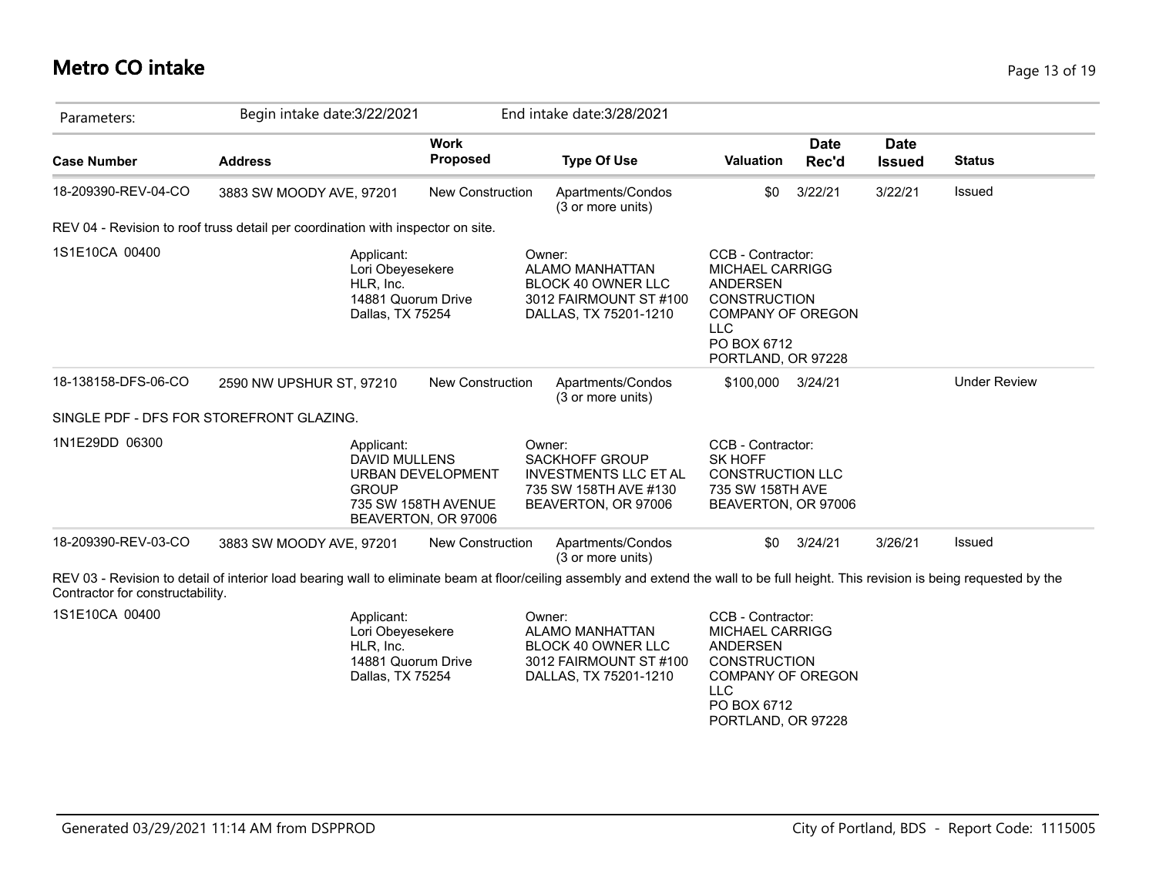#### **Metro CO intake** Page 13 of 19

| Parameters:         | Begin intake date: 3/22/2021                                                          |                                                                 | End intake date: 3/28/2021                                                                                       |                                                                                                                                                               |                      |                              |                     |
|---------------------|---------------------------------------------------------------------------------------|-----------------------------------------------------------------|------------------------------------------------------------------------------------------------------------------|---------------------------------------------------------------------------------------------------------------------------------------------------------------|----------------------|------------------------------|---------------------|
| <b>Case Number</b>  | <b>Address</b>                                                                        | <b>Work</b><br><b>Proposed</b>                                  | <b>Type Of Use</b>                                                                                               | <b>Valuation</b>                                                                                                                                              | <b>Date</b><br>Rec'd | <b>Date</b><br><b>Issued</b> | <b>Status</b>       |
| 18-209390-REV-04-CO | 3883 SW MOODY AVE, 97201                                                              | New Construction                                                | Apartments/Condos<br>(3 or more units)                                                                           | \$0                                                                                                                                                           | 3/22/21              | 3/22/21                      | Issued              |
|                     | REV 04 - Revision to roof truss detail per coordination with inspector on site.       |                                                                 |                                                                                                                  |                                                                                                                                                               |                      |                              |                     |
| 1S1E10CA 00400      | Applicant:<br>Lori Obeyesekere<br>HLR, Inc.<br>14881 Quorum Drive<br>Dallas, TX 75254 |                                                                 | Owner:<br><b>ALAMO MANHATTAN</b><br><b>BLOCK 40 OWNER LLC</b><br>3012 FAIRMOUNT ST #100<br>DALLAS, TX 75201-1210 | CCB - Contractor:<br><b>MICHAEL CARRIGG</b><br>ANDERSEN<br><b>CONSTRUCTION</b><br><b>COMPANY OF OREGON</b><br><b>LLC</b><br>PO BOX 6712<br>PORTLAND, OR 97228 |                      |                              |                     |
| 18-138158-DFS-06-CO | 2590 NW UPSHUR ST, 97210                                                              | <b>New Construction</b>                                         | Apartments/Condos<br>(3 or more units)                                                                           | \$100,000 3/24/21                                                                                                                                             |                      |                              | <b>Under Review</b> |
|                     | SINGLE PDF - DFS FOR STOREFRONT GLAZING.                                              |                                                                 |                                                                                                                  |                                                                                                                                                               |                      |                              |                     |
| 1N1E29DD 06300      | Applicant:<br><b>DAVID MULLENS</b><br><b>GROUP</b>                                    | URBAN DEVELOPMENT<br>735 SW 158TH AVENUE<br>BEAVERTON, OR 97006 | Owner:<br>SACKHOFF GROUP<br><b>INVESTMENTS LLC ET AL</b><br>735 SW 158TH AVE #130<br>BEAVERTON, OR 97006         | CCB - Contractor:<br><b>SK HOFF</b><br><b>CONSTRUCTION LLC</b><br>735 SW 158TH AVE<br>BEAVERTON, OR 97006                                                     |                      |                              |                     |
| 18-209390-REV-03-CO | 3883 SW MOODY AVE, 97201                                                              | <b>New Construction</b>                                         | Apartments/Condos<br>(3 or more units)                                                                           | \$0                                                                                                                                                           | 3/24/21              | 3/26/21                      | Issued              |

Applicant: Lori Obeyesekere HLR, Inc. 14881 Quorum Drive Dallas, TX 75254

1S1E10CA 00400 **CCB** - Contractor: Applicant: COMPONENTIES Owner: CCB - Contractor: LLC Owner: ALAMO MANHATTAN BLOCK 40 OWNER LLC 3012 FAIRMOUNT ST #100 DALLAS, TX 75201-1210

MICHAEL CARRIGG ANDERSEN **CONSTRUCTION** COMPANY OF OREGON PO BOX 6712 PORTLAND, OR 97228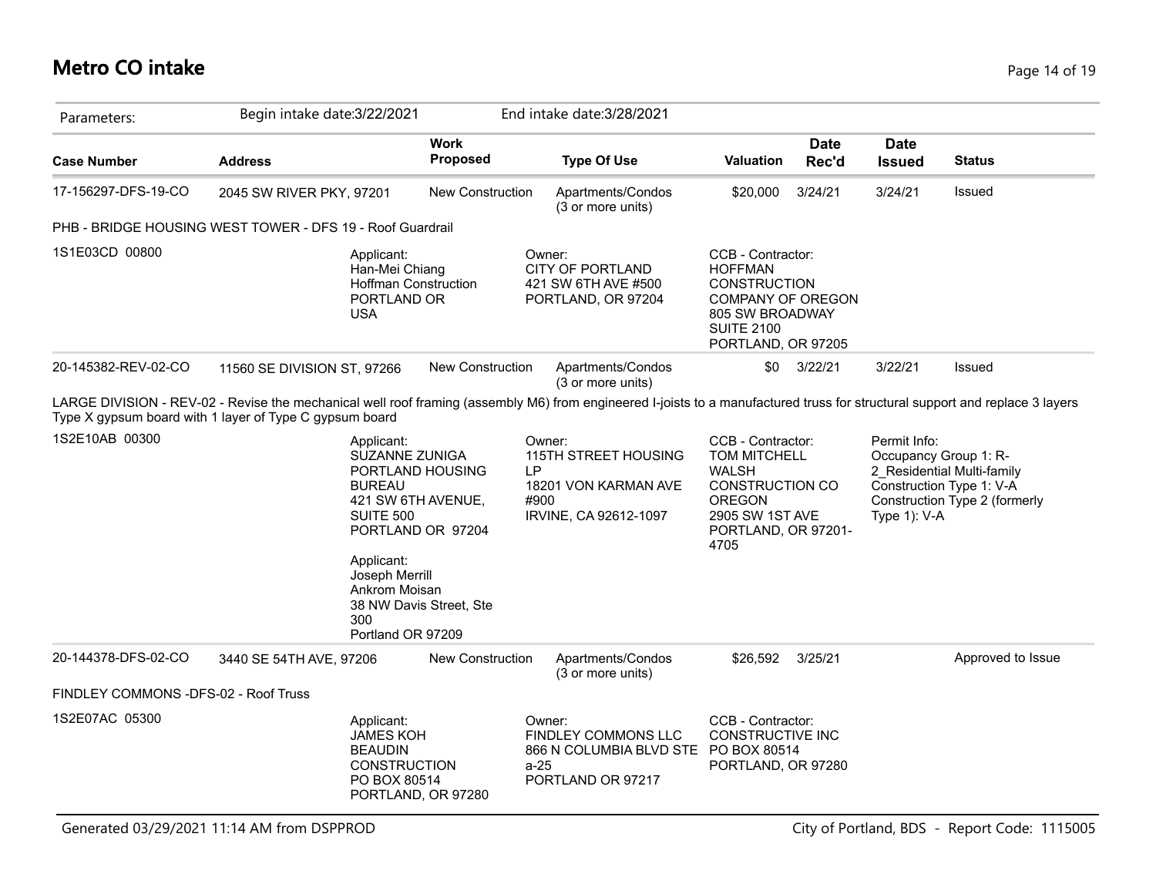### **Metro CO intake** Page 14 of 19

| Parameters:                                                 | Begin intake date: 3/22/2021 |                                                                                                                                                                      |                                                                  |            | End intake date: 3/28/2021                                                                                                                                                   |                                                                                                                                                       |                      |                              |                                                                                                                  |
|-------------------------------------------------------------|------------------------------|----------------------------------------------------------------------------------------------------------------------------------------------------------------------|------------------------------------------------------------------|------------|------------------------------------------------------------------------------------------------------------------------------------------------------------------------------|-------------------------------------------------------------------------------------------------------------------------------------------------------|----------------------|------------------------------|------------------------------------------------------------------------------------------------------------------|
| <b>Case Number</b>                                          | <b>Address</b>               |                                                                                                                                                                      | <b>Work</b><br>Proposed                                          |            | <b>Type Of Use</b>                                                                                                                                                           | <b>Valuation</b>                                                                                                                                      | <b>Date</b><br>Rec'd | <b>Date</b><br><b>Issued</b> | <b>Status</b>                                                                                                    |
| 17-156297-DFS-19-CO                                         | 2045 SW RIVER PKY, 97201     |                                                                                                                                                                      | <b>New Construction</b>                                          |            | Apartments/Condos<br>(3 or more units)                                                                                                                                       | \$20,000                                                                                                                                              | 3/24/21              | 3/24/21                      | Issued                                                                                                           |
| PHB - BRIDGE HOUSING WEST TOWER - DFS 19 - Roof Guardrail   |                              |                                                                                                                                                                      |                                                                  |            |                                                                                                                                                                              |                                                                                                                                                       |                      |                              |                                                                                                                  |
| 1S1E03CD 00800                                              |                              | Applicant:<br>Han-Mei Chiang<br><b>Hoffman Construction</b><br>PORTLAND OR<br><b>USA</b>                                                                             |                                                                  |            | Owner:<br><b>CITY OF PORTLAND</b><br>421 SW 6TH AVE #500<br>PORTLAND, OR 97204                                                                                               | CCB - Contractor:<br><b>HOFFMAN</b><br><b>CONSTRUCTION</b><br><b>COMPANY OF OREGON</b><br>805 SW BROADWAY<br><b>SUITE 2100</b><br>PORTLAND, OR 97205  |                      |                              |                                                                                                                  |
| 20-145382-REV-02-CO                                         | 11560 SE DIVISION ST, 97266  |                                                                                                                                                                      | New Construction                                                 |            | Apartments/Condos<br>(3 or more units)                                                                                                                                       | \$0                                                                                                                                                   | 3/22/21              | 3/22/21                      | Issued                                                                                                           |
| Type X gypsum board with 1 layer of Type C gypsum board     |                              |                                                                                                                                                                      |                                                                  |            | LARGE DIVISION - REV-02 - Revise the mechanical well roof framing (assembly M6) from engineered I-joists to a manufactured truss for structural support and replace 3 layers |                                                                                                                                                       |                      |                              |                                                                                                                  |
| 1S2E10AB 00300                                              |                              | Applicant:<br>SUZANNE ZUNIGA<br><b>BUREAU</b><br>421 SW 6TH AVENUE,<br><b>SUITE 500</b><br>Applicant:<br>Joseph Merrill<br>Ankrom Moisan<br>300<br>Portland OR 97209 | PORTLAND HOUSING<br>PORTLAND OR 97204<br>38 NW Davis Street, Ste | LP<br>#900 | Owner:<br>115TH STREET HOUSING<br>18201 VON KARMAN AVE<br>IRVINE, CA 92612-1097                                                                                              | CCB - Contractor:<br><b>TOM MITCHELL</b><br><b>WALSH</b><br><b>CONSTRUCTION CO</b><br><b>OREGON</b><br>2905 SW 1ST AVE<br>PORTLAND, OR 97201-<br>4705 |                      | Permit Info:<br>Type 1): V-A | Occupancy Group 1: R-<br>2 Residential Multi-family<br>Construction Type 1: V-A<br>Construction Type 2 (formerly |
| 20-144378-DFS-02-CO<br>FINDLEY COMMONS -DFS-02 - Roof Truss | 3440 SE 54TH AVE, 97206      |                                                                                                                                                                      | New Construction                                                 |            | Apartments/Condos<br>(3 or more units)                                                                                                                                       | \$26,592                                                                                                                                              | 3/25/21              |                              | Approved to Issue                                                                                                |
| 1S2E07AC 05300                                              |                              | Applicant:<br><b>JAMES KOH</b><br><b>BEAUDIN</b><br><b>CONSTRUCTION</b><br>PO BOX 80514                                                                              | PORTLAND, OR 97280                                               | $a-25$     | Owner:<br><b>FINDLEY COMMONS LLC</b><br>866 N COLUMBIA BLVD STE PO BOX 80514<br>PORTLAND OR 97217                                                                            | CCB - Contractor:<br><b>CONSTRUCTIVE INC</b><br>PORTLAND, OR 97280                                                                                    |                      |                              |                                                                                                                  |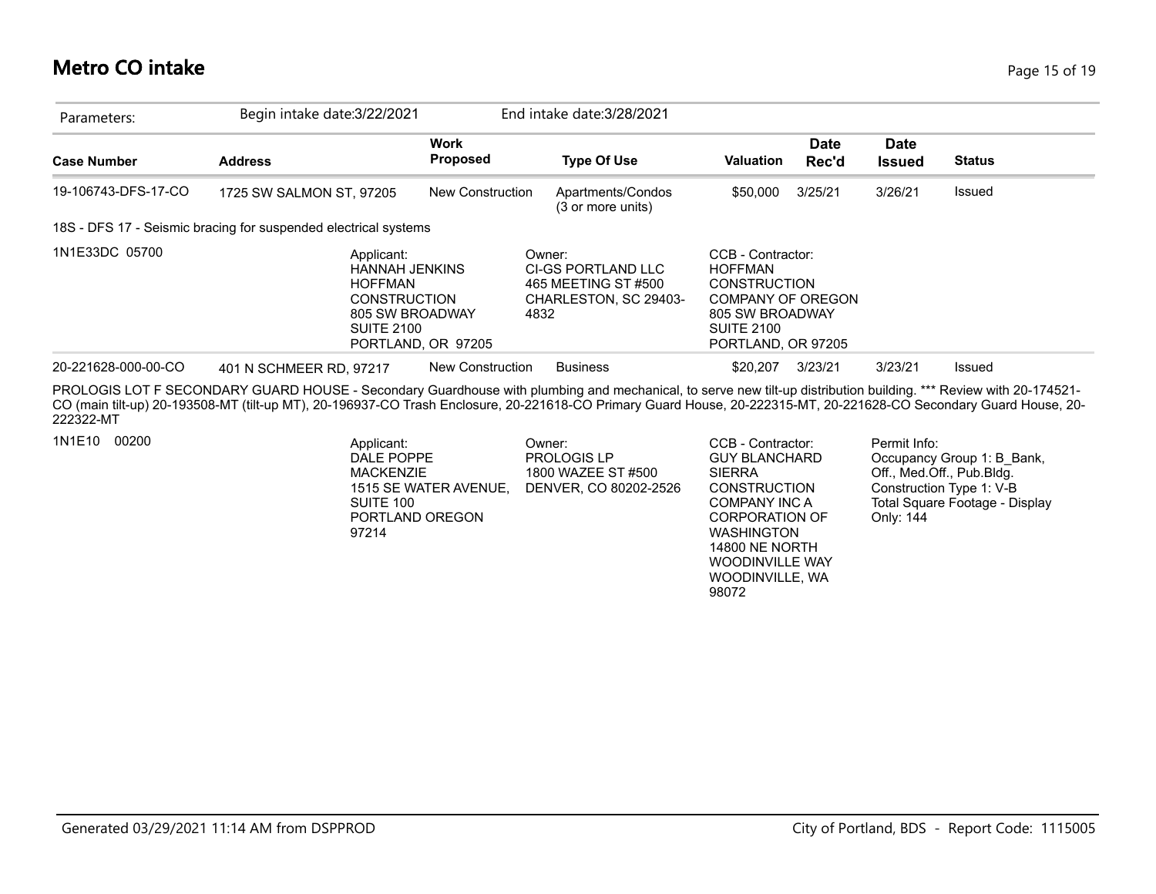#### **Metro CO intake** Page 15 of 19

| Parameters:         | Begin intake date: 3/22/2021                                                                                                                                                                                                                                                                                                           |                                | End intake date: 3/28/2021                                                           |                                                                                                                                                      |                      |                              |               |
|---------------------|----------------------------------------------------------------------------------------------------------------------------------------------------------------------------------------------------------------------------------------------------------------------------------------------------------------------------------------|--------------------------------|--------------------------------------------------------------------------------------|------------------------------------------------------------------------------------------------------------------------------------------------------|----------------------|------------------------------|---------------|
| <b>Case Number</b>  | <b>Address</b>                                                                                                                                                                                                                                                                                                                         | <b>Work</b><br><b>Proposed</b> | <b>Type Of Use</b>                                                                   | <b>Valuation</b>                                                                                                                                     | <b>Date</b><br>Rec'd | <b>Date</b><br><b>Issued</b> | <b>Status</b> |
| 19-106743-DFS-17-CO | 1725 SW SALMON ST, 97205                                                                                                                                                                                                                                                                                                               | New Construction               | Apartments/Condos<br>(3 or more units)                                               | \$50,000                                                                                                                                             | 3/25/21              | 3/26/21                      | Issued        |
|                     | 18S - DFS 17 - Seismic bracing for suspended electrical systems                                                                                                                                                                                                                                                                        |                                |                                                                                      |                                                                                                                                                      |                      |                              |               |
| 1N1E33DC 05700      | Applicant:<br><b>HANNAH JENKINS</b><br><b>HOFFMAN</b><br><b>CONSTRUCTION</b><br>805 SW BROADWAY<br><b>SUITE 2100</b>                                                                                                                                                                                                                   | PORTLAND, OR 97205             | Owner:<br>CI-GS PORTLAND LLC<br>465 MEETING ST #500<br>CHARLESTON, SC 29403-<br>4832 | CCB - Contractor:<br><b>HOFFMAN</b><br><b>CONSTRUCTION</b><br><b>COMPANY OF OREGON</b><br>805 SW BROADWAY<br><b>SUITE 2100</b><br>PORTLAND, OR 97205 |                      |                              |               |
| 20-221628-000-00-CO | 401 N SCHMEER RD. 97217                                                                                                                                                                                                                                                                                                                | New Construction               | <b>Business</b>                                                                      | \$20,207                                                                                                                                             | 3/23/21              | 3/23/21                      | Issued        |
| 222322-MT           | PROLOGIS LOT F SECONDARY GUARD HOUSE - Secondary Guardhouse with plumbing and mechanical, to serve new tilt-up distribution building. *** Review with 20-174521-<br>CO (main tilt-up) 20-193508-MT (tilt-up MT), 20-196937-CO Trash Enclosure, 20-221618-CO Primary Guard House, 20-222315-MT, 20-221628-CO Secondary Guard House, 20- |                                |                                                                                      |                                                                                                                                                      |                      |                              |               |

1N1E10 00200 **Permit Info:** Applicant: COWNer: Owner: CCB - Contractor: Permit Info: Owner: PROLOGIS LP 1800 WAZEE ST #500 1515 SE WATER AVENUE, DENVER, CO 80202-2526 Applicant: DALE POPPE MACKENZIE SUITE 100 PORTLAND OREGON 97214

GUY BLANCHARD SIERRA **CONSTRUCTION** COMPANY INC A CORPORATION OF WASHINGTON 14800 NE NORTH WOODINVILLE WAY WOODINVILLE, WA 98072

Occupancy Group 1: B\_Bank, Off., Med.Off., Pub.Bldg. Construction Type 1: V-B Total Square Footage - Display Only: 144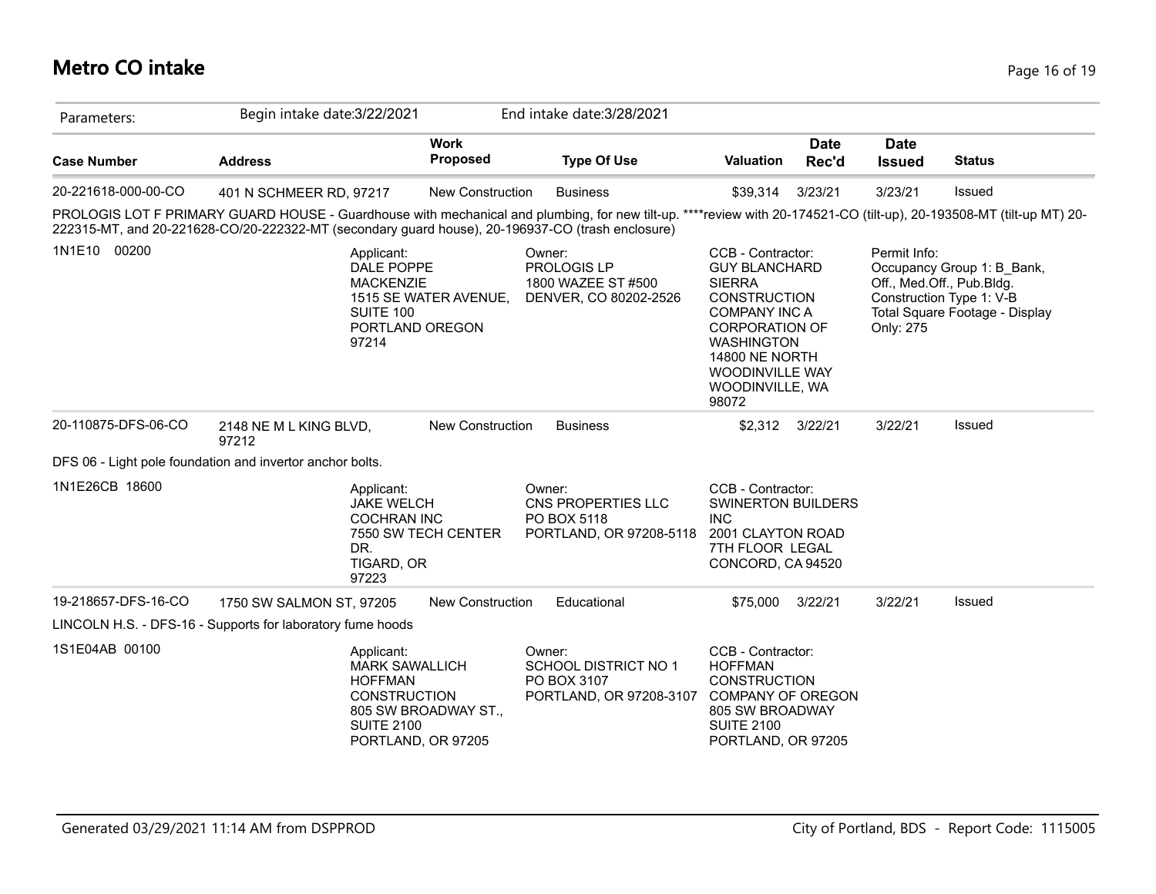# **Metro CO intake** Page 16 of 19

| Parameters:         | Begin intake date: 3/22/2021                                                                                                                                                                                                                                             |                         | End intake date: 3/28/2021                                                      |                                                                                                                                                                                                                                 |                      |                              |                                                                                                                       |
|---------------------|--------------------------------------------------------------------------------------------------------------------------------------------------------------------------------------------------------------------------------------------------------------------------|-------------------------|---------------------------------------------------------------------------------|---------------------------------------------------------------------------------------------------------------------------------------------------------------------------------------------------------------------------------|----------------------|------------------------------|-----------------------------------------------------------------------------------------------------------------------|
| <b>Case Number</b>  | <b>Address</b>                                                                                                                                                                                                                                                           | <b>Work</b><br>Proposed | <b>Type Of Use</b>                                                              | <b>Valuation</b>                                                                                                                                                                                                                | <b>Date</b><br>Rec'd | <b>Date</b><br><b>Issued</b> | <b>Status</b>                                                                                                         |
| 20-221618-000-00-CO | 401 N SCHMEER RD, 97217                                                                                                                                                                                                                                                  | <b>New Construction</b> | <b>Business</b>                                                                 | \$39,314                                                                                                                                                                                                                        | 3/23/21              | 3/23/21                      | <b>Issued</b>                                                                                                         |
|                     | PROLOGIS LOT F PRIMARY GUARD HOUSE - Guardhouse with mechanical and plumbing, for new tilt-up. ****review with 20-174521-CO (tilt-up), 20-193508-MT (tilt-up MT) 20-<br>222315-MT, and 20-221628-CO/20-222322-MT (secondary guard house), 20-196937-CO (trash enclosure) |                         |                                                                                 |                                                                                                                                                                                                                                 |                      |                              |                                                                                                                       |
| 1N1E10 00200        | Applicant:<br>DALE POPPE<br><b>MACKENZIE</b><br><b>SUITE 100</b><br>PORTLAND OREGON<br>97214                                                                                                                                                                             | 1515 SE WATER AVENUE,   | Owner:<br>PROLOGIS LP<br>1800 WAZEE ST #500<br>DENVER, CO 80202-2526            | CCB - Contractor:<br><b>GUY BLANCHARD</b><br><b>SIERRA</b><br><b>CONSTRUCTION</b><br><b>COMPANY INC A</b><br><b>CORPORATION OF</b><br><b>WASHINGTON</b><br><b>14800 NE NORTH</b><br>WOODINVILLE WAY<br>WOODINVILLE, WA<br>98072 |                      | Permit Info:<br>Only: 275    | Occupancy Group 1: B Bank,<br>Off., Med.Off., Pub.Bldg.<br>Construction Type 1: V-B<br>Total Square Footage - Display |
| 20-110875-DFS-06-CO | 2148 NE M L KING BLVD,<br>97212                                                                                                                                                                                                                                          | <b>New Construction</b> | <b>Business</b>                                                                 | \$2,312 3/22/21                                                                                                                                                                                                                 |                      | 3/22/21                      | <b>Issued</b>                                                                                                         |
|                     | DFS 06 - Light pole foundation and invertor anchor bolts.                                                                                                                                                                                                                |                         |                                                                                 |                                                                                                                                                                                                                                 |                      |                              |                                                                                                                       |
| 1N1E26CB 18600      | Applicant:<br><b>JAKE WELCH</b><br><b>COCHRAN INC</b><br>DR.<br>TIGARD, OR<br>97223                                                                                                                                                                                      | 7550 SW TECH CENTER     | Owner:<br>CNS PROPERTIES LLC<br>PO BOX 5118<br>PORTLAND, OR 97208-5118          | CCB - Contractor:<br>SWINERTON BUILDERS<br><b>INC</b><br>2001 CLAYTON ROAD<br>7TH FLOOR LEGAL<br>CONCORD, CA 94520                                                                                                              |                      |                              |                                                                                                                       |
| 19-218657-DFS-16-CO | 1750 SW SALMON ST, 97205                                                                                                                                                                                                                                                 | <b>New Construction</b> | Educational                                                                     | \$75,000                                                                                                                                                                                                                        | 3/22/21              | 3/22/21                      | <b>Issued</b>                                                                                                         |
|                     | LINCOLN H.S. - DFS-16 - Supports for laboratory fume hoods                                                                                                                                                                                                               |                         |                                                                                 |                                                                                                                                                                                                                                 |                      |                              |                                                                                                                       |
| 1S1E04AB 00100      | Applicant:<br><b>MARK SAWALLICH</b><br><b>HOFFMAN</b><br><b>CONSTRUCTION</b><br><b>SUITE 2100</b><br>PORTLAND, OR 97205                                                                                                                                                  | 805 SW BROADWAY ST.,    | Owner:<br><b>SCHOOL DISTRICT NO 1</b><br>PO BOX 3107<br>PORTLAND, OR 97208-3107 | CCB - Contractor:<br><b>HOFFMAN</b><br><b>CONSTRUCTION</b><br><b>COMPANY OF OREGON</b><br>805 SW BROADWAY<br><b>SUITE 2100</b><br>PORTLAND, OR 97205                                                                            |                      |                              |                                                                                                                       |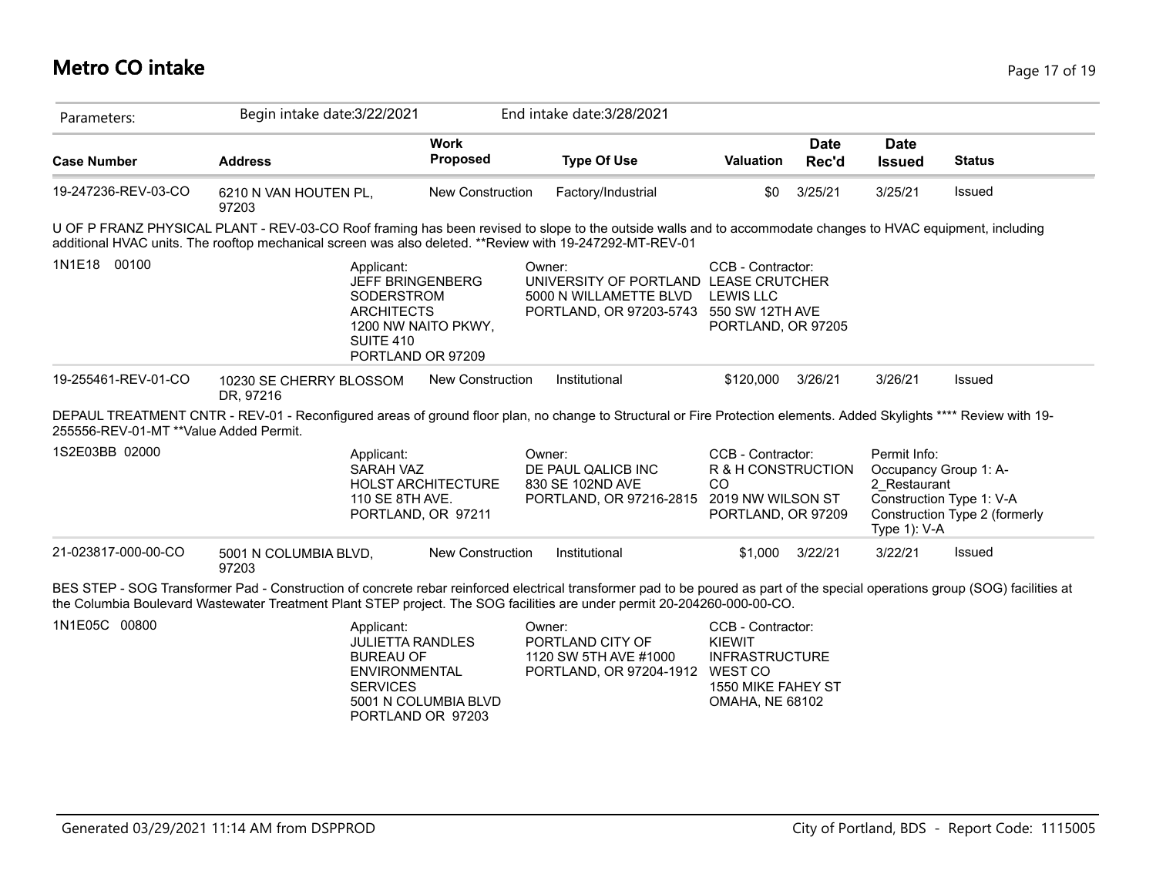### **Metro CO intake** Page 17 of 19

| Parameters:                            | Begin intake date: 3/22/2021                                                                                                                                                                                                                                                                               |                           | End intake date: 3/28/2021                                                                                           |                                                                                                                 |                      |                                                                       |                                                           |
|----------------------------------------|------------------------------------------------------------------------------------------------------------------------------------------------------------------------------------------------------------------------------------------------------------------------------------------------------------|---------------------------|----------------------------------------------------------------------------------------------------------------------|-----------------------------------------------------------------------------------------------------------------|----------------------|-----------------------------------------------------------------------|-----------------------------------------------------------|
| <b>Case Number</b>                     | <b>Address</b>                                                                                                                                                                                                                                                                                             | <b>Work</b><br>Proposed   | <b>Type Of Use</b>                                                                                                   | <b>Valuation</b>                                                                                                | <b>Date</b><br>Rec'd | <b>Date</b><br><b>Issued</b>                                          | <b>Status</b>                                             |
| 19-247236-REV-03-CO                    | 6210 N VAN HOUTEN PL,<br>97203                                                                                                                                                                                                                                                                             | <b>New Construction</b>   | Factory/Industrial                                                                                                   | \$0                                                                                                             | 3/25/21              | 3/25/21                                                               | Issued                                                    |
|                                        | U OF P FRANZ PHYSICAL PLANT - REV-03-CO Roof framing has been revised to slope to the outside walls and to accommodate changes to HVAC equipment, including<br>additional HVAC units. The rooftop mechanical screen was also deleted. **Review with 19-247292-MT-REV-01                                    |                           |                                                                                                                      |                                                                                                                 |                      |                                                                       |                                                           |
| 1N1E18 00100                           | Applicant:<br><b>JEFF BRINGENBERG</b><br>SODERSTROM<br><b>ARCHITECTS</b><br><b>SUITE 410</b><br>PORTLAND OR 97209                                                                                                                                                                                          | 1200 NW NAITO PKWY,       | Owner:<br>UNIVERSITY OF PORTLAND LEASE CRUTCHER<br>5000 N WILLAMETTE BLVD<br>PORTLAND, OR 97203-5743 550 SW 12TH AVE | CCB - Contractor:<br><b>LEWIS LLC</b><br>PORTLAND, OR 97205                                                     |                      |                                                                       |                                                           |
| 19-255461-REV-01-CO                    | 10230 SE CHERRY BLOSSOM<br>DR, 97216                                                                                                                                                                                                                                                                       | New Construction          | Institutional                                                                                                        | \$120,000                                                                                                       | 3/26/21              | 3/26/21                                                               | Issued                                                    |
| 255556-REV-01-MT **Value Added Permit. | DEPAUL TREATMENT CNTR - REV-01 - Reconfigured areas of ground floor plan, no change to Structural or Fire Protection elements. Added Skylights **** Review with 19-                                                                                                                                        |                           |                                                                                                                      |                                                                                                                 |                      |                                                                       |                                                           |
| 1S2E03BB 02000                         | Applicant:<br>SARAH VAZ<br>110 SE 8TH AVE.<br>PORTLAND, OR 97211                                                                                                                                                                                                                                           | <b>HOLST ARCHITECTURE</b> | Owner:<br>DE PAUL QALICB INC<br>830 SE 102ND AVE<br>PORTLAND, OR 97216-2815                                          | CCB - Contractor:<br>R & H CONSTRUCTION<br><sub>CO</sub><br>2019 NW WILSON ST<br>PORTLAND, OR 97209             |                      | Permit Info:<br>Occupancy Group 1: A-<br>2 Restaurant<br>Type 1): V-A | Construction Type 1: V-A<br>Construction Type 2 (formerly |
| 21-023817-000-00-CO                    | 5001 N COLUMBIA BLVD,<br>97203                                                                                                                                                                                                                                                                             | <b>New Construction</b>   | Institutional                                                                                                        | \$1,000                                                                                                         | 3/22/21              | 3/22/21                                                               | Issued                                                    |
|                                        | BES STEP - SOG Transformer Pad - Construction of concrete rebar reinforced electrical transformer pad to be poured as part of the special operations group (SOG) facilities at<br>the Columbia Boulevard Wastewater Treatment Plant STEP project. The SOG facilities are under permit 20-204260-000-00-CO. |                           |                                                                                                                      |                                                                                                                 |                      |                                                                       |                                                           |
| 1N1E05C 00800                          | Applicant:<br><b>JULIETTA RANDLES</b><br><b>BUREAU OF</b><br><b>ENVIRONMENTAL</b><br><b>SERVICES</b><br>PORTLAND OR 97203                                                                                                                                                                                  | 5001 N COLUMBIA BLVD      | Owner:<br>PORTLAND CITY OF<br>1120 SW 5TH AVE #1000<br>PORTLAND, OR 97204-1912                                       | CCB - Contractor:<br>KIEWIT<br><b>INFRASTRUCTURE</b><br>WEST CO<br>1550 MIKE FAHEY ST<br><b>OMAHA, NE 68102</b> |                      |                                                                       |                                                           |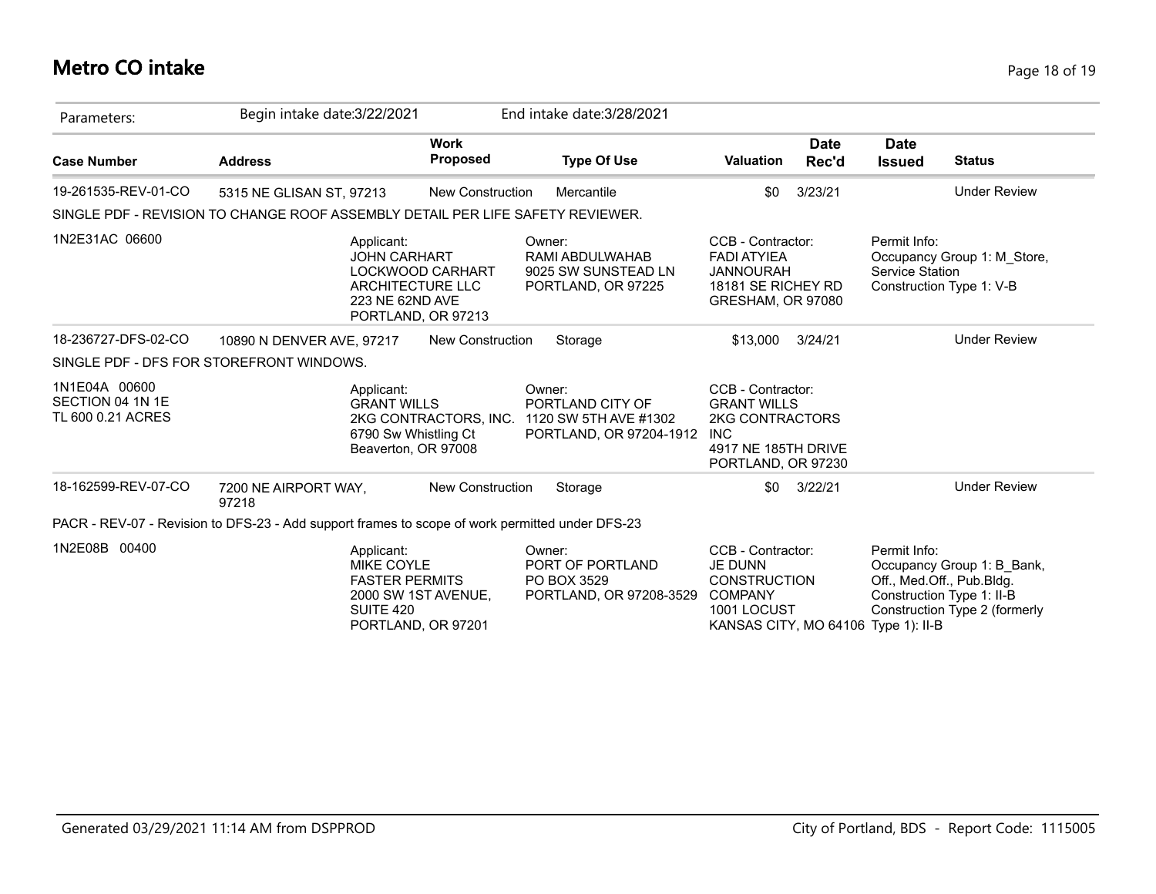### **Metro CO intake** Page 18 of 19

| Parameters:                                            | Begin intake date: 3/22/2021                                                                    |                                                                                                                           | End intake date: 3/28/2021                                                     |                                                                                                                       |                      |                                                                                            |                                                             |
|--------------------------------------------------------|-------------------------------------------------------------------------------------------------|---------------------------------------------------------------------------------------------------------------------------|--------------------------------------------------------------------------------|-----------------------------------------------------------------------------------------------------------------------|----------------------|--------------------------------------------------------------------------------------------|-------------------------------------------------------------|
| <b>Case Number</b>                                     | <b>Address</b>                                                                                  | <b>Work</b><br><b>Proposed</b>                                                                                            | <b>Type Of Use</b>                                                             | <b>Valuation</b>                                                                                                      | <b>Date</b><br>Rec'd | <b>Date</b><br><b>Issued</b>                                                               | <b>Status</b>                                               |
| 19-261535-REV-01-CO                                    | 5315 NE GLISAN ST, 97213                                                                        | New Construction                                                                                                          | Mercantile                                                                     | \$0                                                                                                                   | 3/23/21              |                                                                                            | <b>Under Review</b>                                         |
|                                                        | SINGLE PDF - REVISION TO CHANGE ROOF ASSEMBLY DETAIL PER LIFE SAFETY REVIEWER.                  |                                                                                                                           |                                                                                |                                                                                                                       |                      |                                                                                            |                                                             |
| 1N2E31AC 06600                                         |                                                                                                 | Applicant:<br><b>JOHN CARHART</b><br><b>LOCKWOOD CARHART</b><br>ARCHITECTURE LLC<br>223 NE 62ND AVE<br>PORTLAND, OR 97213 | Owner:<br>RAMI ABDULWAHAB<br>9025 SW SUNSTEAD LN<br>PORTLAND, OR 97225         | CCB - Contractor:<br><b>FADI ATYIEA</b><br><b>JANNOURAH</b><br>18181 SE RICHEY RD<br>GRESHAM, OR 97080                |                      | Permit Info:<br>Service Station<br>Construction Type 1: V-B                                | Occupancy Group 1: M_Store,                                 |
| 18-236727-DFS-02-CO                                    | 10890 N DENVER AVE, 97217                                                                       | <b>New Construction</b>                                                                                                   | Storage                                                                        | \$13.000                                                                                                              | 3/24/21              |                                                                                            | <b>Under Review</b>                                         |
|                                                        | SINGLE PDF - DFS FOR STOREFRONT WINDOWS.                                                        |                                                                                                                           |                                                                                |                                                                                                                       |                      |                                                                                            |                                                             |
| 1N1E04A 00600<br>SECTION 04 1N 1E<br>TL 600 0.21 ACRES |                                                                                                 | Applicant:<br><b>GRANT WILLS</b><br>2KG CONTRACTORS, INC.<br>6790 Sw Whistling Ct<br>Beaverton, OR 97008                  | Owner:<br>PORTLAND CITY OF<br>1120 SW 5TH AVE #1302<br>PORTLAND, OR 97204-1912 | CCB - Contractor:<br><b>GRANT WILLS</b><br>2KG CONTRACTORS<br><b>INC</b><br>4917 NE 185TH DRIVE<br>PORTLAND, OR 97230 |                      |                                                                                            |                                                             |
| 18-162599-REV-07-CO                                    | 7200 NE AIRPORT WAY,<br>97218                                                                   | <b>New Construction</b>                                                                                                   | Storage                                                                        | \$0                                                                                                                   | 3/22/21              |                                                                                            | <b>Under Review</b>                                         |
|                                                        | PACR - REV-07 - Revision to DFS-23 - Add support frames to scope of work permitted under DFS-23 |                                                                                                                           |                                                                                |                                                                                                                       |                      |                                                                                            |                                                             |
| 1N2E08B 00400                                          |                                                                                                 | Applicant:<br>MIKE COYLE<br><b>FASTER PERMITS</b><br>2000 SW 1ST AVENUE,<br>SUITE 420<br>PORTLAND, OR 97201               | Owner:<br>PORT OF PORTLAND<br>PO BOX 3529<br>PORTLAND, OR 97208-3529           | CCB - Contractor:<br><b>JE DUNN</b><br><b>CONSTRUCTION</b><br><b>COMPANY</b><br>1001 LOCUST<br>KANSAS CITY, MO 64106  |                      | Permit Info:<br>Off., Med.Off., Pub.Bldg.<br>Construction Type 1: II-B<br>Type $1$ ): II-B | Occupancy Group 1: B_Bank,<br>Construction Type 2 (formerly |